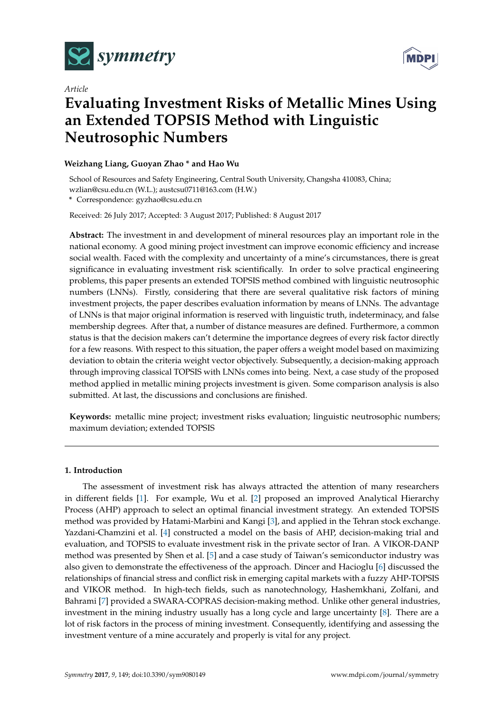

**MDPI** 

# *Article* **Evaluating Investment Risks of Metallic Mines Using an Extended TOPSIS Method with Linguistic Neutrosophic Numbers**

# **Weizhang Liang, Guoyan Zhao \* and Hao Wu**

School of Resources and Safety Engineering, Central South University, Changsha 410083, China; wzlian@csu.edu.cn (W.L.); austcsu0711@163.com (H.W.)

**\*** Correspondence: gyzhao@csu.edu.cn

Received: 26 July 2017; Accepted: 3 August 2017; Published: 8 August 2017

**Abstract:** The investment in and development of mineral resources play an important role in the national economy. A good mining project investment can improve economic efficiency and increase social wealth. Faced with the complexity and uncertainty of a mine's circumstances, there is great significance in evaluating investment risk scientifically. In order to solve practical engineering problems, this paper presents an extended TOPSIS method combined with linguistic neutrosophic numbers (LNNs). Firstly, considering that there are several qualitative risk factors of mining investment projects, the paper describes evaluation information by means of LNNs. The advantage of LNNs is that major original information is reserved with linguistic truth, indeterminacy, and false membership degrees. After that, a number of distance measures are defined. Furthermore, a common status is that the decision makers can't determine the importance degrees of every risk factor directly for a few reasons. With respect to this situation, the paper offers a weight model based on maximizing deviation to obtain the criteria weight vector objectively. Subsequently, a decision-making approach through improving classical TOPSIS with LNNs comes into being. Next, a case study of the proposed method applied in metallic mining projects investment is given. Some comparison analysis is also submitted. At last, the discussions and conclusions are finished.

**Keywords:** metallic mine project; investment risks evaluation; linguistic neutrosophic numbers; maximum deviation; extended TOPSIS

# **1. Introduction**

The assessment of investment risk has always attracted the attention of many researchers in different fields [\[1\]](#page-14-0). For example, Wu et al. [\[2\]](#page-14-1) proposed an improved Analytical Hierarchy Process (AHP) approach to select an optimal financial investment strategy. An extended TOPSIS method was provided by Hatami-Marbini and Kangi [\[3\]](#page-14-2), and applied in the Tehran stock exchange. Yazdani-Chamzini et al. [\[4\]](#page-14-3) constructed a model on the basis of AHP, decision-making trial and evaluation, and TOPSIS to evaluate investment risk in the private sector of Iran. A VIKOR-DANP method was presented by Shen et al. [\[5\]](#page-14-4) and a case study of Taiwan's semiconductor industry was also given to demonstrate the effectiveness of the approach. Dincer and Hacioglu [\[6\]](#page-14-5) discussed the relationships of financial stress and conflict risk in emerging capital markets with a fuzzy AHP-TOPSIS and VIKOR method. In high-tech fields, such as nanotechnology, Hashemkhani, Zolfani, and Bahrami [\[7\]](#page-14-6) provided a SWARA-COPRAS decision-making method. Unlike other general industries, investment in the mining industry usually has a long cycle and large uncertainty [\[8\]](#page-14-7). There are a lot of risk factors in the process of mining investment. Consequently, identifying and assessing the investment venture of a mine accurately and properly is vital for any project.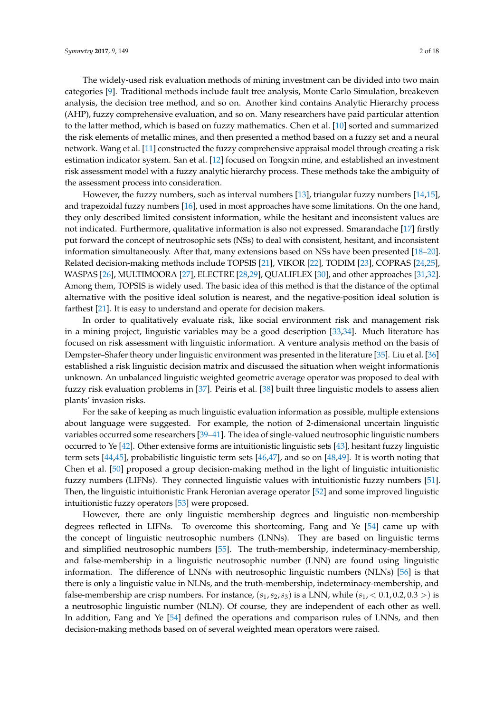The widely-used risk evaluation methods of mining investment can be divided into two main categories [\[9\]](#page-14-8). Traditional methods include fault tree analysis, Monte Carlo Simulation, breakeven analysis, the decision tree method, and so on. Another kind contains Analytic Hierarchy process (AHP), fuzzy comprehensive evaluation, and so on. Many researchers have paid particular attention to the latter method, which is based on fuzzy mathematics. Chen et al. [\[10\]](#page-15-0) sorted and summarized the risk elements of metallic mines, and then presented a method based on a fuzzy set and a neural network. Wang et al. [\[11\]](#page-15-1) constructed the fuzzy comprehensive appraisal model through creating a risk estimation indicator system. San et al. [\[12\]](#page-15-2) focused on Tongxin mine, and established an investment risk assessment model with a fuzzy analytic hierarchy process. These methods take the ambiguity of the assessment process into consideration.

However, the fuzzy numbers, such as interval numbers [\[13\]](#page-15-3), triangular fuzzy numbers [\[14,](#page-15-4)[15\]](#page-15-5), and trapezoidal fuzzy numbers [\[16\]](#page-15-6), used in most approaches have some limitations. On the one hand, they only described limited consistent information, while the hesitant and inconsistent values are not indicated. Furthermore, qualitative information is also not expressed. Smarandache [\[17\]](#page-15-7) firstly put forward the concept of neutrosophic sets (NSs) to deal with consistent, hesitant, and inconsistent information simultaneously. After that, many extensions based on NSs have been presented [\[18–](#page-15-8)[20\]](#page-15-9). Related decision-making methods include TOPSIS [\[21\]](#page-15-10), VIKOR [\[22\]](#page-15-11), TODIM [\[23\]](#page-15-12), COPRAS [\[24,](#page-15-13)[25\]](#page-15-14), WASPAS [\[26\]](#page-15-15), MULTIMOORA [\[27\]](#page-15-16), ELECTRE [\[28](#page-15-17)[,29\]](#page-15-18), QUALIFLEX [\[30\]](#page-15-19), and other approaches [\[31](#page-15-20)[,32\]](#page-15-21). Among them, TOPSIS is widely used. The basic idea of this method is that the distance of the optimal alternative with the positive ideal solution is nearest, and the negative-position ideal solution is farthest [\[21\]](#page-15-10). It is easy to understand and operate for decision makers.

In order to qualitatively evaluate risk, like social environment risk and management risk in a mining project, linguistic variables may be a good description [\[33](#page-15-22)[,34\]](#page-15-23). Much literature has focused on risk assessment with linguistic information. A venture analysis method on the basis of Dempster–Shafer theory under linguistic environment was presented in the literature [\[35\]](#page-16-0). Liu et al. [\[36\]](#page-16-1) established a risk linguistic decision matrix and discussed the situation when weight informationis unknown. An unbalanced linguistic weighted geometric average operator was proposed to deal with fuzzy risk evaluation problems in [\[37\]](#page-16-2). Peiris et al. [\[38\]](#page-16-3) built three linguistic models to assess alien plants' invasion risks.

For the sake of keeping as much linguistic evaluation information as possible, multiple extensions about language were suggested. For example, the notion of 2-dimensional uncertain linguistic variables occurred some researchers [\[39–](#page-16-4)[41\]](#page-16-5). The idea of single-valued neutrosophic linguistic numbers occurred to Ye [\[42\]](#page-16-6). Other extensive forms are intuitionistic linguistic sets [\[43\]](#page-16-7), hesitant fuzzy linguistic term sets [\[44,](#page-16-8)[45\]](#page-16-9), probabilistic linguistic term sets [\[46](#page-16-10)[,47\]](#page-16-11), and so on [\[48,](#page-16-12)[49\]](#page-16-13). It is worth noting that Chen et al. [\[50\]](#page-16-14) proposed a group decision-making method in the light of linguistic intuitionistic fuzzy numbers (LIFNs). They connected linguistic values with intuitionistic fuzzy numbers [\[51\]](#page-16-15). Then, the linguistic intuitionistic Frank Heronian average operator [\[52\]](#page-16-16) and some improved linguistic intuitionistic fuzzy operators [\[53\]](#page-16-17) were proposed.

However, there are only linguistic membership degrees and linguistic non-membership degrees reflected in LIFNs. To overcome this shortcoming, Fang and Ye [\[54\]](#page-16-18) came up with the concept of linguistic neutrosophic numbers (LNNs). They are based on linguistic terms and simplified neutrosophic numbers [\[55\]](#page-16-19). The truth-membership, indeterminacy-membership, and false-membership in a linguistic neutrosophic number (LNN) are found using linguistic information. The difference of LNNs with neutrosophic linguistic numbers (NLNs) [\[56\]](#page-16-20) is that there is only a linguistic value in NLNs, and the truth-membership, indeterminacy-membership, and false-membership are crisp numbers. For instance,  $(s_1, s_2, s_3)$  is a LNN, while  $(s_1, < 0.1, 0.2, 0.3 >)$  is a neutrosophic linguistic number (NLN). Of course, they are independent of each other as well. In addition, Fang and Ye [\[54\]](#page-16-18) defined the operations and comparison rules of LNNs, and then decision-making methods based on of several weighted mean operators were raised.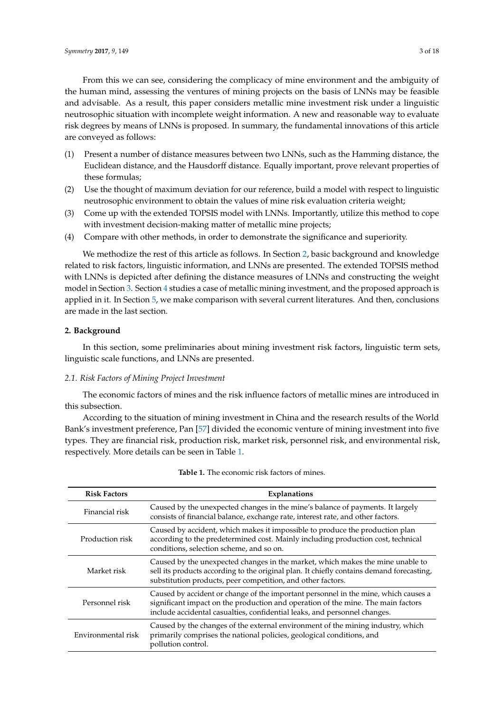From this we can see, considering the complicacy of mine environment and the ambiguity of the human mind, assessing the ventures of mining projects on the basis of LNNs may be feasible and advisable. As a result, this paper considers metallic mine investment risk under a linguistic neutrosophic situation with incomplete weight information. A new and reasonable way to evaluate risk degrees by means of LNNs is proposed. In summary, the fundamental innovations of this article are conveyed as follows:

- (1) Present a number of distance measures between two LNNs, such as the Hamming distance, the Euclidean distance, and the Hausdorff distance. Equally important, prove relevant properties of these formulas;
- (2) Use the thought of maximum deviation for our reference, build a model with respect to linguistic neutrosophic environment to obtain the values of mine risk evaluation criteria weight;
- (3) Come up with the extended TOPSIS model with LNNs. Importantly, utilize this method to cope with investment decision-making matter of metallic mine projects;
- (4) Compare with other methods, in order to demonstrate the significance and superiority.

We methodize the rest of this article as follows. In Section [2,](#page-2-0) basic background and knowledge related to risk factors, linguistic information, and LNNs are presented. The extended TOPSIS method with LNNs is depicted after defining the distance measures of LNNs and constructing the weight model in Section [3.](#page-4-0) Section [4](#page-8-0) studies a case of metallic mining investment, and the proposed approach is applied in it. In Section [5,](#page-11-0) we make comparison with several current literatures. And then, conclusions are made in the last section.

#### <span id="page-2-0"></span>**2. Background**

In this section, some preliminaries about mining investment risk factors, linguistic term sets, linguistic scale functions, and LNNs are presented.

#### *2.1. Risk Factors of Mining Project Investment*

The economic factors of mines and the risk influence factors of metallic mines are introduced in this subsection.

According to the situation of mining investment in China and the research results of the World Bank's investment preference, Pan [\[57\]](#page-16-21) divided the economic venture of mining investment into five types. They are financial risk, production risk, market risk, personnel risk, and environmental risk, respectively. More details can be seen in Table [1.](#page-2-1)

<span id="page-2-1"></span>

| <b>Risk Factors</b> | Explanations                                                                                                                                                                                                                                         |
|---------------------|------------------------------------------------------------------------------------------------------------------------------------------------------------------------------------------------------------------------------------------------------|
| Financial risk      | Caused by the unexpected changes in the mine's balance of payments. It largely<br>consists of financial balance, exchange rate, interest rate, and other factors.                                                                                    |
| Production risk     | Caused by accident, which makes it impossible to produce the production plan<br>according to the predetermined cost. Mainly including production cost, technical<br>conditions, selection scheme, and so on.                                         |
| Market risk         | Caused by the unexpected changes in the market, which makes the mine unable to<br>sell its products according to the original plan. It chiefly contains demand forecasting,<br>substitution products, peer competition, and other factors.           |
| Personnel risk      | Caused by accident or change of the important personnel in the mine, which causes a<br>significant impact on the production and operation of the mine. The main factors<br>include accidental casualties, confidential leaks, and personnel changes. |
| Environmental risk  | Caused by the changes of the external environment of the mining industry, which<br>primarily comprises the national policies, geological conditions, and<br>pollution control.                                                                       |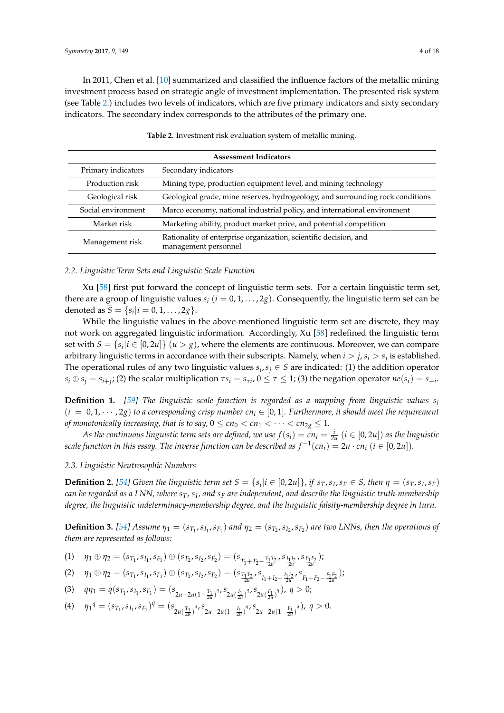In 2011, Chen et al. [\[10\]](#page-15-0) summarized and classified the influence factors of the metallic mining investment process based on strategic angle of investment implementation. The presented risk system (see Table [2.](#page-3-0)) includes two levels of indicators, which are five primary indicators and sixty secondary indicators. The secondary index corresponds to the attributes of the primary one.

<span id="page-3-0"></span>

| <b>Assessment Indicators</b> |                                                                                          |  |  |  |
|------------------------------|------------------------------------------------------------------------------------------|--|--|--|
| Primary indicators           | Secondary indicators                                                                     |  |  |  |
| Production risk              | Mining type, production equipment level, and mining technology                           |  |  |  |
| Geological risk              | Geological grade, mine reserves, hydrogeology, and surrounding rock conditions           |  |  |  |
| Social environment           | Marco economy, national industrial policy, and international environment                 |  |  |  |
| Market risk                  | Marketing ability, product market price, and potential competition                       |  |  |  |
| Management risk              | Rationality of enterprise organization, scientific decision, and<br>management personnel |  |  |  |

**Table 2.** Investment risk evaluation system of metallic mining.

#### *2.2. Linguistic Term Sets and Linguistic Scale Function*

Xu [\[58\]](#page-16-22) first put forward the concept of linguistic term sets. For a certain linguistic term set, there are a group of linguistic values  $s_i$  ( $i = 0, 1, \ldots, 2g$ ). Consequently, the linguistic term set can be denoted as  $\overline{S} = \{s_i | i = 0, 1, ..., 2g\}.$ 

While the linguistic values in the above-mentioned linguistic term set are discrete, they may not work on aggregated linguistic information. Accordingly, Xu [\[58\]](#page-16-22) redefined the linguistic term set with  $S = \{s_i | i \in [0, 2u]\}$   $(u > g)$ , where the elements are continuous. Moreover, we can compare arbitrary linguistic terms in accordance with their subscripts. Namely, when  $i > j$ ,  $s_i > s_j$  is established. The operational rules of any two linguistic values  $s_i$ ,  $s_j \in S$  are indicated: (1) the addition operator  $s_i\oplus s_j=s_{i+j};$  (2) the scalar multiplication  $\tau s_i=s_{\tau i}$ ,  $0\leq\tau\leq1;$  (3) the negation operator  $ne(s_i)=s_{-i}.$ 

**Definition 1.** *[\[59\]](#page-17-0) The linguistic scale function is regarded as a mapping from linguistic values s<sup>i</sup>*  $(i = 0, 1, \dots, 2g)$  to a corresponding crisp number  $cn_i \in [0, 1]$ . Furthermore, it should meet the requirement *of monotonically increasing, that is to say,*  $0 \leq cn_0 < cn_1 < \cdots < cn_{2g} \leq 1$ .

*As the continuous linguistic term sets are defined, we use*  $f(s_i) = cn_i = \frac{i}{2u}$  $(i \in [0, 2u])$  *as the linguistic*  $s$ cale function in this essay. The inverse function can be described as  $f^{-1}(cn_i) = 2u \cdot cn_i~(i \in [0,2u]).$ 

#### *2.3. Linguistic Neutrosophic Numbers*

**Definition 2.** [\[54\]](#page-16-18) Given the linguistic term set  $S = \{s_i | i \in [0, 2u]\}$ , if  $s_T, s_I, s_F \in S$ , then  $\eta = (s_T, s_I, s_F)$ *can be regarded as a LNN, where sT, s<sup>I</sup> , and s<sup>F</sup> are independent, and describe the linguistic truth-membership degree, the linguistic indeterminacy-membership degree, and the linguistic falsity-membership degree in turn.*

**Definition 3.** [\[54\]](#page-16-18) Assume  $\eta_1 = (s_{T_1}, s_{I_1}, s_{F_1})$  and  $\eta_2 = (s_{T_2}, s_{I_2}, s_{F_2})$  are two LNNs, then the operations of *them are represented as follows:*

(1)  $\eta_1 \oplus \eta_2 = (s_{T_1}, s_{I_1}, s_{F_1}) \oplus (s_{T_2}, s_{I_2}, s_{F_2}) = (s_{T_1 + T_2 - \frac{T_1 T_2}{2u}}, s_{\frac{I_1 I_2}{2u}}, s_{\frac{F_1 F_2}{2u}});$ 

$$
(2) \quad \eta_1 \otimes \eta_2 = (s_{T_1}, s_{I_1}, s_{F_1}) \oplus (s_{T_2}, s_{I_2}, s_{F_2}) = (s_{\frac{T_1 T_2}{2u}}, s_{I_1 + I_2 - \frac{I_1 I_2}{2u}}, s_{F_1 + F_2 - \frac{F_1 F_2}{2u}});
$$

(3) 
$$
q\eta_1 = q(s_{T_1}, s_{I_1}, s_{F_1}) = (s_{2u-2u(1-\frac{T_1}{2u})^q}, s_{2u(\frac{I_1}{2u})^q}, s_{2u(\frac{F_1}{2u})^q}), q > 0;
$$

(4)  $\eta_1^q = (s_{T_1}, s_{I_1}, s_{F_1})^q = (s_{2u(\frac{T_1}{2u})^q}, s_{2u-2u(1-\frac{I_1}{2u})^q}, s_{2u-2u(1-\frac{F_1}{2u})^q}), q > 0.$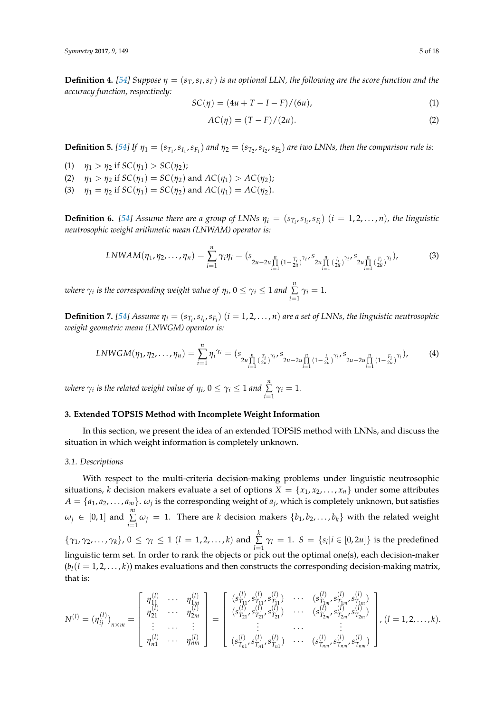**Definition 4.** [\[54\]](#page-16-18) Suppose  $\eta = (s_T, s_I, s_F)$  is an optional LLN, the following are the score function and the *accuracy function, respectively:*

$$
SC(\eta) = (4u + T - I - F)/(6u),
$$
\n(1)

$$
AC(\eta) = (T - F)/(2u). \tag{2}
$$

**Definition 5.** [\[54\]](#page-16-18) If  $\eta_1 = (s_{T_1}, s_{I_1}, s_{F_1})$  and  $\eta_2 = (s_{T_2}, s_{I_2}, s_{F_2})$  are two LNNs, then the comparison rule is:

- (1)  $\eta_1 > \eta_2$  if  $SC(\eta_1) > SC(\eta_2)$ ;
- (2)  $\eta_1 > \eta_2$  if  $SC(\eta_1) = SC(\eta_2)$  and  $AC(\eta_1) > AC(\eta_2)$ ;
- (3)  $\eta_1 = \eta_2$  if  $SC(\eta_1) = SC(\eta_2)$  and  $AC(\eta_1) = AC(\eta_2)$ .

**Definition 6.** [\[54\]](#page-16-18) Assume there are a group of LNNs  $\eta_i = (s_{T_i}, s_{I_i}, s_{F_i})$   $(i = 1, 2, ..., n)$ , the linguistic *neutrosophic weight arithmetic mean (LNWAM) operator is:*

$$
LNWAM(\eta_1, \eta_2, \dots, \eta_n) = \sum_{i=1}^n \gamma_i \eta_i = (s_{2u-2u} \prod_{i=1}^n (1 - \frac{T_i}{2u})^{\gamma_i} s_{2u} \prod_{i=1}^n (\frac{I_i}{2u})^{\gamma_i} s_{2u} \prod_{i=1}^n (\frac{F_i}{2u})^{\gamma_i}}),
$$
(3)

*where*  $\gamma_i$  is the corresponding weight value of  $\eta_i$ ,  $0 \leq \gamma_i \leq 1$  and  $\sum^{n}$  $\sum_{i=1}$   $\gamma_i = 1$ *.* 

**Definition 7.** [\[54\]](#page-16-18) Assume  $\eta_i = (s_{T_i}, s_{I_i}, s_{F_i})$   $(i = 1, 2, ..., n)$  are a set of LNNs, the linguistic neutrosophic *weight geometric mean (LNWGM) operator is:*

$$
LNWGM(\eta_1, \eta_2, \dots, \eta_n) = \sum_{i=1}^n \eta_i^{\gamma_i} = (s_{2u \prod_{i=1}^n (\frac{T_i}{2u})^{\gamma_i}} s_{2u-2u \prod_{i=1}^n (1 - \frac{I_i}{2u})^{\gamma_i}} s_{2u-2u \prod_{i=1}^n (1 - \frac{F_i}{2u})^{\gamma_i}}),
$$
 (4)

*where*  $\gamma_i$  *is the related weight value of*  $\eta_i$ *,*  $0 \leq \gamma_i \leq 1$  *and*  $\sum\limits_{i=1}^n\frac{1}{n}$  $\sum_{i=1}$   $\gamma_i = 1$ *.* 

# <span id="page-4-0"></span>**3. Extended TOPSIS Method with Incomplete Weight Information**

In this section, we present the idea of an extended TOPSIS method with LNNs, and discuss the situation in which weight information is completely unknown.

#### *3.1. Descriptions*

With respect to the multi-criteria decision-making problems under linguistic neutrosophic situations, *k* decision makers evaluate a set of options  $X = \{x_1, x_2, \ldots, x_n\}$  under some attributes  $A = \{a_1, a_2, \ldots, a_m\}$ .  $\omega_j$  is the corresponding weight of  $a_j$ , which is completely unknown, but satisfies  $\omega_j$  ∈ [0,1] and  $\sum^m_l$  $\sum_{i=1}$   $\omega_j$  = 1. There are *k* decision makers  $\{b_1, b_2, \ldots, b_k\}$  with the related weight  $\{\gamma_1, \gamma_2, \ldots, \gamma_k\}, 0 \le \gamma_l \le 1 \ (l = 1, 2, \ldots, k)$  and  $\sum_{i=1}^k$  $\sum_{i=1} \gamma_i = 1$ . *S* = {*s*<sub>*i*</sub>|*i* ∈ [0, 2*u*]} is the predefined linguistic term set. In order to rank the objects or pick out the optimal one(s), each decision-maker  $(b_l(l = 1, 2, \ldots, k))$  makes evaluations and then constructs the corresponding decision-making matrix, that is:

$$
N^{(l)} = (\eta_{ij}^{(l)})_{n \times m} = \begin{bmatrix} \eta_{11}^{(l)} & \cdots & \eta_{1m}^{(l)} \\ \eta_{21}^{(l)} & \cdots & \eta_{2m}^{(l)} \\ \vdots & \ddots & \vdots \\ \eta_{n1}^{(l)} & \cdots & \eta_{nm}^{(l)} \end{bmatrix} = \begin{bmatrix} (s_{T_{11}}^{(l)}, s_{T_{11}}^{(l)}, s_{T_{11}}^{(l)}) & \cdots & (s_{T_{1m}}^{(l)}, s_{T_{1m}}^{(l)}, s_{T_{1m}}^{(l)}) \\ (s_{T_{21}}^{(l)}, s_{T_{21}}^{(l)}, s_{T_{21}}^{(l)}) & \cdots & (s_{T_{2m}}^{(l)}, s_{T_{2m}}^{(l)}, s_{T_{2m}}^{(l)}) \\ \vdots & \ddots & \vdots \\ (s_{T_{n1}}^{(l)}, s_{T_{n1}}^{(l)}, s_{T_{n1}}^{(l)}) & \cdots & (s_{T_{nm}}^{(l)}, s_{T_{nm}}^{(l)}, s_{T_{nm}}^{(l)}) \end{bmatrix}, (l = 1, 2, \ldots, k).
$$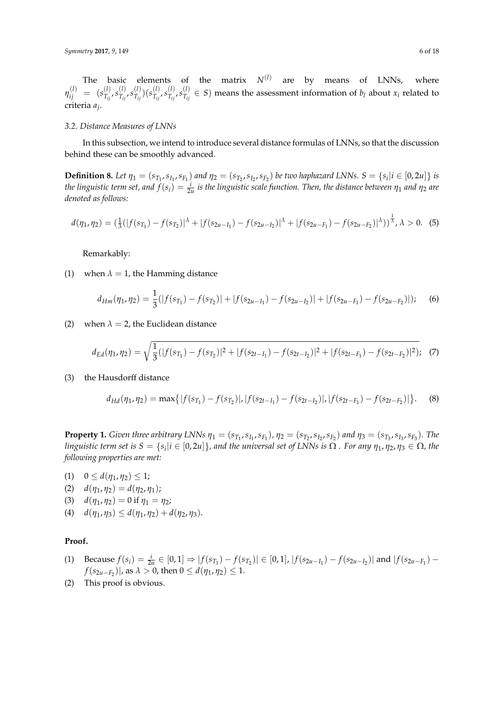The basic elements of the matrix  $N^{(l)}$  are by means of LNNs, where  $\eta_{ij}^{(l)}$  = ( $s_{T_{ij}}^{(l)}$  $\frac{(l)}{T_{ij}}$ ,  $s^{(l)}_{T_{ij}}$  $\frac{(l)}{T_{ij}}$ ,  $s^{(l)}_{T_{ij}}$  $\binom{(l)}{T_{ij}}(s^{(l)}_{T_{ij}})$  $(T_{ij}^{(l)}, s_{T_{ij}}^{(l)})$  $\frac{(l)}{T_{ij}}$ ,  $s^{(l)}_{T_{ij}}$  $T_{ij}^{(1)} \in S$ ) means the assessment information of *b*<sub>*l*</sub> about *x*<sub>*i*</sub> related to criteria *a<sup>j</sup>* .

#### *3.2. Distance Measures of LNNs*

In this subsection, we intend to introduce several distance formulas of LNNs, so that the discussion behind these can be smoothly advanced.

**Definition 8.** Let  $\eta_1 = (s_{T_1}, s_{I_1}, s_{F_1})$  and  $\eta_2 = (s_{T_2}, s_{I_2}, s_{F_2})$  be two haphazard LNNs.  $S = \{s_i | i \in [0, 2u]\}$  is *the linguistic term set, and*  $f(s_i) = \frac{i}{2u}$  *is the linguistic scale function. Then, the distance between*  $\eta_1$  *and*  $\eta_2$  *are denoted as follows:*

$$
d(\eta_1, \eta_2) = \left(\frac{1}{3}(|f(s_{T_1}) - f(s_{T_2})|^{\lambda} + |f(s_{2u - I_1}) - f(s_{2u - I_2})|^{\lambda} + |f(s_{2u - F_1}) - f(s_{2u - F_2})|^{\lambda}\right)^{\frac{1}{\lambda}}, \lambda > 0.
$$
 (5)

Remarkably:

(1) when  $\lambda = 1$ , the Hamming distance

$$
d_{Hm}(\eta_1, \eta_2) = \frac{1}{3}(|f(s_{T_1}) - f(s_{T_2})| + |f(s_{2u - I_1}) - f(s_{2u - I_2})| + |f(s_{2u - F_1}) - f(s_{2u - F_2})|); \quad (6)
$$

(2) when  $\lambda = 2$ , the Euclidean distance

$$
d_{Ed}(\eta_1, \eta_2) = \sqrt{\frac{1}{3}(|f(s_{T_1}) - f(s_{T_2})|^2 + |f(s_{2t - I_1}) - f(s_{2t - I_2})|^2 + |f(s_{2t - F_1}) - f(s_{2t - F_2})|^2)}.
$$
 (7)

(3) the Hausdorff distance

$$
d_{Hd}(\eta_1, \eta_2) = \max\{|f(s_{T_1}) - f(s_{T_2})|, |f(s_{2t - I_1}) - f(s_{2t - I_2})|, |f(s_{2t - F_1}) - f(s_{2t - F_2})|\}.
$$
 (8)

**Property 1.** Given three arbitrary LNNs  $\eta_1 = (s_{T_1}, s_{I_1}, s_{F_1})$ ,  $\eta_2 = (s_{T_2}, s_{I_2}, s_{F_2})$  and  $\eta_3 = (s_{T_3}, s_{I_3}, s_{F_3})$ . The *linguistic term set is*  $S = \{s_i | i \in [0,2u]\}$ , and the universal set of LNNs is  $\Omega$  . For any  $\eta_1$ ,  $\eta_2$ ,  $\eta_3 \in \Omega$ , the *following properties are met:*

- (1)  $0 \leq d(\eta_1, \eta_2) \leq 1;$
- (2)  $d(\eta_1, \eta_2) = d(\eta_2, \eta_1);$
- (3)  $d(\eta_1, \eta_2) = 0$  if  $\eta_1 = \eta_2$ ;
- (4)  $d(\eta_1, \eta_3) \leq d(\eta_1, \eta_2) + d(\eta_2, \eta_3).$

## **Proof.**

- (1) Because  $f(s_i) = \frac{i}{2u} \in [0,1] \Rightarrow |f(s_{T_1}) f(s_{T_2})| \in [0,1], |f(s_{2u-I_1}) f(s_{2u-I_2})|$  and  $|f(s_{2u-F_1}) f(s_{2u-F_1})|$  $f(s_{2u-F_2})$ |, as  $λ > 0$ , then  $0 ≤ d(η_1,η_2) ≤ 1$ .
- (2) This proof is obvious.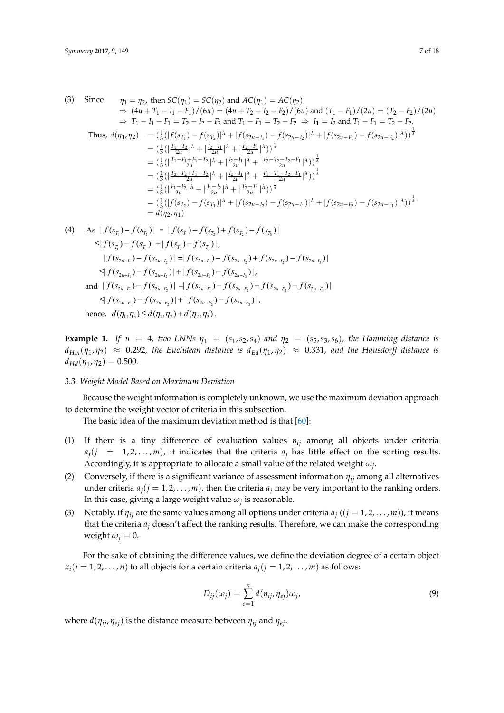$$
\begin{array}{ll}\n\text{(3)} \quad \text{Since} & \eta_1 = \eta_2 \text{, then } SC(\eta_1) = SC(\eta_2) \text{ and } AC(\eta_1) = AC(\eta_2) \\
& \Rightarrow (4u + T_1 - I_1 - F_1) / (6u) = (4u + T_2 - I_2 - F_2) / (6u) \text{ and } (T_1 - F_1) / (2u) = (T_2 - F_2) / (2u) \\
& \Rightarrow T_1 - I_1 - F_1 = T_2 - I_2 - F_2 \text{ and } T_1 - F_1 = T_2 - F_2 \Rightarrow I_1 = I_2 \text{ and } T_1 - F_1 = T_2 - F_2. \\
\text{Thus, } d(\eta_1, \eta_2) & = \left(\frac{1}{3} \left(\frac{|f(s_{\eta_1}) - f(s_{\eta_2})|^\lambda + |f(s_{2u - I_1}) - f(s_{2u - I_2})|^\lambda + |f(s_{2u - F_1}) - f(s_{2u - F_2})|^\lambda\right)\right)^\frac{1}{\lambda} \\
& = \left(\frac{1}{3}\left(\frac{|T_1 - T_2|^\lambda + \frac{|L_2 - I_1|^\lambda}{2u}|^\lambda + \frac{|E_2 - F_1|^\lambda}{2u}|^\lambda\right)\right)^\frac{1}{\lambda} \\
& = \left(\frac{1}{3}\left(\frac{|T_1 - F_1 + F_1 - T_2|^\lambda + \frac{|L_2 - I_1|^\lambda}{2u}|^\lambda + \frac{|E_2 - T_2 + T_2 - F_1|^\lambda}{2u}|^\lambda\right)\right)^\frac{1}{\lambda} \\
& = \left(\frac{1}{3}\left(\frac{|T_2 - F_2 + F_1 - T_2|^\lambda + \frac{|L_2 - I_1|^\lambda}{2u}|^\lambda + \frac{|F_1 - T_1 + T_2 - F_1|^\lambda}{2u}|^\lambda\right)\right)^\frac{1}{\lambda} \\
& = \left(\frac{1}{3}\left(\frac{|F_1 - F_2|^\lambda + \frac{|I_2 - I_2|^\lambda}{2u}|^\lambda + \frac{|T_2 - T_1|^\lambda}{2u}|^\lambda\right)\right)^\frac{1}{\lambda} \\
& = \left(\frac{1}{3}\left(\frac{|f(s_{\eta_2}) - f(s_{\eta_1})|^\lambda + |f(s_{2u - I_2}) - f(s_{2u - I_
$$

$$
\leq |f(s_{T_1}) - f(s_{T_2})| + |f(s_{T_2}) - f(s_{T_3})|,
$$
\n
$$
|f(s_{2u-I_1}) - f(s_{2u-I_2})| = |f(s_{2u-I_1}) - f(s_{2u-I_2}) + f(s_{2u-I_2}) - f(s_{2u-I_3})|
$$
\n
$$
\leq |f(s_{2u-I_1}) - f(s_{2u-I_2})| + |f(s_{2u-I_2}) - f(s_{2u-I_3})|,
$$
\nand  $|f(s_{2u-F_1}) - f(s_{2u-F_2})| = |f(s_{2u-F_1}) - f(s_{2u-F_2}) + f(s_{2u-F_2}) - f(s_{2u-F_3})|$ \n
$$
\leq |f(s_{2u-F_1}) - f(s_{2u-F_2})| + |f(s_{2u-F_2}) - f(s_{2u-F_3})|,
$$
\nhence,  $d(\eta_1, \eta_3) \leq d(\eta_1, \eta_2) + d(\eta_2, \eta_3)$ .

**Example 1.** If  $u = 4$ , two LNNs  $\eta_1 = (s_1, s_2, s_4)$  and  $\eta_2 = (s_5, s_3, s_6)$ , the Hamming distance is  $d_{Hm}(\eta_1,\eta_2)~\approx~$  0.292, the Euclidean distance is  $d_{Ed}(\eta_1,\eta_2)~\approx~$  0.331, and the Hausdorff distance is  $d_{Hd}(\eta_1, \eta_2) = 0.500.$ 

## *3.3. Weight Model Based on Maximum Deviation 3.3. Weight Model Based on Maximum Deviation*

Because the weight information is completely unknown, we use the maximum deviation Because the weight information is completely unknown, we use the maximum deviation approach to determine the weight vector of criteria in this subsection.

The basic idea of the maximum deviation method is that [60]: The basic idea of the maximum deviation method is that [\[60\]](#page-17-1):

- (1) If there is a tiny difference of evaluation values η*ij* among all objects under criteria *<sup>j</sup> a*  $a_j$  (j = 1,2,...,*m*), it indicates that the criteria  $a_j$  has little effect on the sorting results. Accordingly, it is appropriate to allocate a small value of the related weight  $\omega_j$ . (1) If there is a tiny difference of evaluation values *ηij* among all objects under criteria
- (2) Conversely, if there is a significant variance of assessment information *ηij* among all alternatives under criteria  $a_j$ ( $j = 1, 2, ..., m$ ), then the criteria  $a_j$  may be very important to the ranking orders. In this case, giving a large weight value *ω<sup>j</sup>* is reasonable.
- (3) Notably, if  $\eta_{ij}$  are the same values among all options under criteria  $a_j$  (( $j = 1, 2, ..., m$ )), it means that the criteria  $a_j$  doesn't affect the ranking results. Therefore, we can make the corresponding weight  $\omega_j = 0$ .

For the sake of obtaining the difference values, we define the deviation degree of a certain object  $x_i$ ( $i = 1, 2, ..., n$ ) to all objects for a certain criteria  $a_j$ ( $j = 1, 2, ..., m$ ) as follows:

$$
D_{ij}(\omega_j) = \sum_{e=1}^n d(\eta_{ij}, \eta_{ej}) \omega_j,
$$
\n(9)

where  $d(\eta_{ij}, \eta_{ej})$  is the distance measure between  $\eta_{ij}$  and  $\eta_{ej}$ .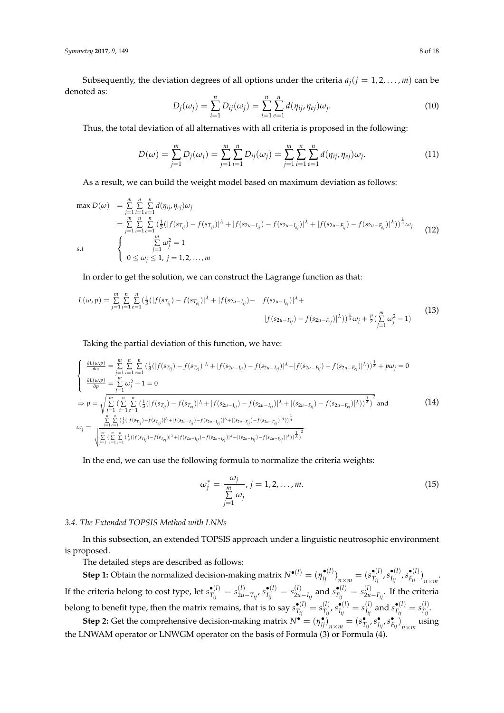*Symmetry* **2017**, *9*, 149 8 of 18

Subsequently, the deviation degrees of all options under the criteria  $a_j$  ( $j = 1, 2, \ldots, m$ ) can be denoted as:

$$
D_j(\omega_j) = \sum_{i=1}^n D_{ij}(\omega_j) = \sum_{i=1}^n \sum_{e=1}^n d(\eta_{ij}, \eta_{ej}) \omega_j.
$$
 (10)

Thus, the total deviation of all alternatives with all criteria is proposed in the following:

$$
D(\omega) = \sum_{j=1}^{m} D_j(\omega_j) = \sum_{j=1}^{m} \sum_{i=1}^{n} D_{ij}(\omega_j) = \sum_{j=1}^{m} \sum_{i=1}^{n} \sum_{e=1}^{n} d(\eta_{ij}, \eta_{ej}) \omega_j.
$$
 (11)

As a result, we can build the weight model based on maximum deviation as follows:

$$
\max D(\omega) = \sum_{j=1}^{m} \sum_{i=1}^{n} \sum_{e=1}^{n} d(\eta_{ij}, \eta_{ej}) \omega_j
$$
\n
$$
= \sum_{j=1}^{m} \sum_{i=1}^{n} \sum_{e=1}^{n} (\frac{1}{3}(|f(s_{T_{ij}}) - f(s_{T_{ej}})|^{\lambda} + |f(s_{2u - I_{ij}}) - f(s_{2u - I_{ej}})|^{\lambda} + |f(s_{2u - F_{ij}}) - f(s_{2u - F_{ej}})|^{\lambda}))^{\frac{1}{\lambda}} \omega_j
$$
\n
$$
s.t \qquad \begin{cases} \sum_{j=1}^{m} \sum_{e=1}^{n} (3(|f(s_{T_{ij}}) - f(s_{T_{ej}})|^{\lambda} + |f(s_{2u - I_{ej}})|^{\lambda} + |f(s_{2u - F_{ij}}) - f(s_{2u - F_{ej}})|^{\lambda}))^{\frac{1}{\lambda}} \omega_j \\ 0 \leq \omega_j \leq 1, \ j = 1, 2, ..., m \end{cases} (12)
$$

In order to get the solution, we can construct the Lagrange function as that:

$$
L(\omega, p) = \sum_{j=1}^{m} \sum_{i=1}^{n} \sum_{e=1}^{n} \left( \frac{1}{3} (|f(s_{T_{ij}}) - f(s_{T_{ej}})|^{\lambda} + |f(s_{2u - I_{ij}}) - f(s_{2u - I_{ej}})|^{\lambda} + |f(s_{2u - I_{ij}}) - f(s_{2u - I_{ej}})|^{\lambda} \right)
$$
\n
$$
|f(s_{2u - F_{ij}}) - f(s_{2u - F_{ej}})|^{\lambda}) \frac{1}{\lambda} \omega_j + \frac{p}{2} (\sum_{j=1}^{m} \omega_j^2 - 1)
$$
\n(13)

Taking the partial deviation of this function, we have:

$$
\begin{cases}\n\frac{\partial L(\omega, p)}{\partial \omega} = \sum_{j=1}^{m} \sum_{i=1}^{n} \sum_{e=1}^{n} \left( \frac{1}{3} (|f(s_{T_{ij}}) - f(s_{T_{ej}})|^{\lambda} + |f(s_{2u - I_{ij}}) - f(s_{2u - I_{ej}})|^{\lambda} + |f(s_{2u - F_{ij}}) - f(s_{2u - F_{ej}})|^{\lambda} \right) \frac{1}{\lambda} + p\omega_{j} = 0 \\
\frac{\partial L(\omega, p)}{\partial p} = \sum_{j=1}^{m} \omega_{j}^{2} - 1 = 0 \\
\Rightarrow p = \sqrt{\sum_{j=1}^{n} \left( \sum_{i=1}^{n} \sum_{e=1}^{n} \left( \frac{1}{3} (|f(s_{T_{ij}}) - f(s_{T_{ej}})|^{\lambda} + |f(s_{2u - I_{ij}}) - f(s_{2u - I_{ej}})|^{\lambda} + |(s_{2u - F_{ij}}) - f(s_{2u - F_{ej}})|^{\lambda} \right) \right)^{\frac{1}{\lambda}}}\n\text{and} \\
\omega_{j} = \frac{\sum_{i=1}^{n} \sum_{e=1}^{n} \left( \frac{1}{3} (|f(s_{T_{ij}}) - f(s_{T_{ej}})|^{\lambda} + |f(s_{2u - I_{ij}}) - f(s_{2u - I_{ej}})|^{\lambda} + |(s_{2u - F_{ij}}) - f(s_{2u - F_{ej}})|^{\lambda} \right) \frac{1}{\lambda}}{\sqrt{\sum_{j=1}^{m} \sum_{i=1}^{n} \sum_{e=1}^{n} \left( \frac{1}{3} (|f(s_{T_{ij}}) - f(s_{T_{ej}})|^{\lambda} + |f(s_{2u - I_{ij}}) - f(s_{2u - I_{ej}})|^{\lambda} + |(s_{2u - F_{ij}}) - f(s_{2u - F_{ej}})|^{\lambda} \right) \frac{1}{\lambda}}}{\sqrt{\sum_{j=1}^{m} \sum_{i=1}^{n} \sum_{e=1}^{n} \left( \frac{1}{3} (|f(s_{T_{ij}}) - f(s_{T_{ej}})|^{\lambda} + |f(s_{2u - I_{ij}}) - f(s_{2u - I_{ej}})|^{\lambda} + |(s_{2u - F_{ij}}) - f(s_{2u - F_{ej}})|^{\lambda} \right) \frac{1}{\lambda}}}{\sqrt{\
$$

In the end, we can use the following formula to normalize the criteria weights:

$$
\omega_j^* = \frac{\omega_j}{\sum\limits_{j=1}^m \omega_j}, j = 1, 2, \dots, m. \tag{15}
$$

## <span id="page-7-0"></span>*3.4. The Extended TOPSIS Method with LNNs*

In this subsection, an extended TOPSIS approach under a linguistic neutrosophic environment is proposed.

The detailed steps are described as follows:

**Step 1:** Obtain the normalized decision-making matrix  $N^{\bullet(l)} = (\eta_{ij}^{\bullet(l)})_{n \times m} = (s_{T_{ij}}^{\bullet(l)})$  $\frac{\bullet(l)}{T_{ij}}$ ,  $s_{I_{ij}}^{\bullet(l)}$  $\frac{\bullet(l)}{I_{ij}}, s_{F_{ij}}^{\bullet(l)}$  $\binom{e(t)}{F_{ij}}_{n\times m}$ . If the criteria belong to cost type, let  $s_{T_{i}}^{\bullet(l)}$  $\frac{\bullet(l)}{T_{ij}} = s_{2u}^{(l)}$  $\sum_{2u-T_{ij}}^{(l)} s_{I_{ij}}^{\bullet(l)}$  $s_{I_{ij}}^{(l)} = s_{2u}^{(l)}$  $\binom{(l)}{2u-I_{ij}}$  and  $s_{F_{ij}}^{\bullet (l)}$  $\frac{\bullet(l)}{F_{ij}} = s_{2u}^{(l)}$  $\sum_{i=1}^{N}$ . If the criteria belong to benefit type, then the matrix remains, that is to say  $s_{T_{i}}^{\bullet(l)}$  $\frac{\bullet(l)}{T_{ij}}=s^{(l)}_{T_{ij}}$  $\frac{I(l)}{T_{ij}}$ ,  $s_{I_{ij}}^{\bullet(l)}$  $\frac{\bullet(l)}{I_{ij}} = s_{I_{ij}}^{(l)}$  $I_{ij}^{(l)}$  and  $s_{F_{ij}}^{\bullet (l)}$  $\frac{\bullet(l)}{F_{ij}} = s_{F_{ij}}^{(l)}$  $F_{ij}$ . **Step 2:** Get the comprehensive decision-making matrix  $N^{\bullet} = (\eta_{ij}^{\bullet})_{n \times m} = (s_{T_{ij}}^{\bullet}, s_{T_{ij}}^{\bullet}, s_{F_{ij}}^{\bullet})_{n \times m}$  using

the LNWAM operator or LNWGM operator on the basis of Formula (3) or Formula (4).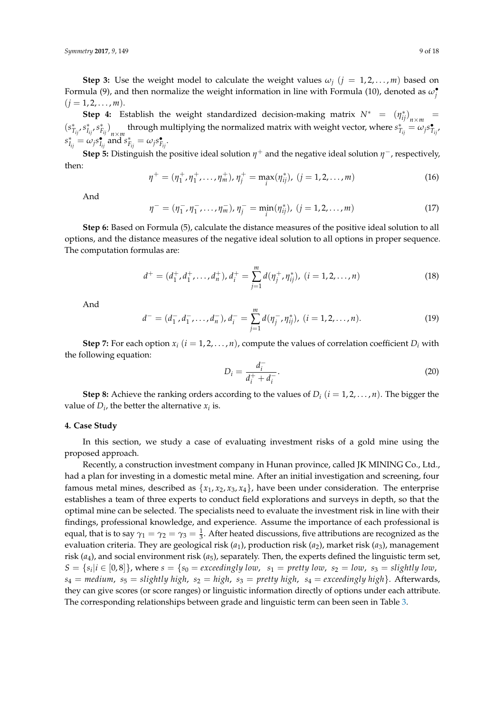**Step 3:** Use the weight model to calculate the weight values  $\omega_i$  ( $j = 1, 2, \ldots, m$ ) based on Formula (9), and then normalize the weight information in line with Formula (10), denoted as  $\omega_j^{\bullet}$  $(j = 1, 2, \ldots, m).$ 

**Step 4:** Establish the weight standardized decision-making matrix  $N^* = (\eta_{ij}^*)_{n \times m}$  $(s_{T_{ij}}^*, s_{I_{ij}}^*, s_{F_{ij}}^*)$ <sub>n $\times m$ </sub> through multiplying the normalized matrix with weight vector, where  $s_{T_{ij}}^* = \omega_j s_{T_{ij}}^*$  $s_{I_{ij}}^{*} = \omega_j s_{I_{ij}}^{\bullet}$  and  $s_{F_{ij}}^{*} = \omega_j s_{F_{ij}}^{\bullet}$ .

**Step 5:** Distinguish the positive ideal solution  $\eta^+$  and the negative ideal solution  $\eta^-$ , respectively, then:

$$
\eta^+ = (\eta_1^+, \eta_1^+, \dots, \eta_m^+), \eta_j^+ = \max_i(\eta_{ij}^*), \ (j = 1, 2, \dots, m)
$$
 (16)

And

$$
\eta^- = (\eta^-_1, \eta^-_1, \dots, \eta^-_m), \eta^-_j = \min_i(\eta^*_{ij}), \ (j = 1, 2, \dots, m)
$$
 (17)

**Step 6:** Based on Formula (5), calculate the distance measures of the positive ideal solution to all options, and the distance measures of the negative ideal solution to all options in proper sequence. The computation formulas are:

$$
d^+ = (d_1^+, d_1^+, \dots, d_n^+), d_i^+ = \sum_{j=1}^m d(\eta_j^+, \eta_{ij}^*), \ (i = 1, 2, \dots, n)
$$
 (18)

And

$$
d^- = (d_1^-, d_1^-, \dots, d_n^-), d_i^- = \sum_{j=1}^m d(\eta_j^-, \eta_{ij}^*), (i = 1, 2, \dots, n).
$$
 (19)

**Step 7:** For each option  $x_i$  ( $i = 1, 2, ..., n$ ), compute the values of correlation coefficient  $D_i$  with the following equation:

$$
D_i = \frac{d_i^-}{d_i^+ + d_i^-}.\tag{20}
$$

**Step 8:** Achieve the ranking orders according to the values of  $D_i$  ( $i = 1, 2, ..., n$ ). The bigger the value of  $D_i$ , the better the alternative  $x_i$  is.

#### <span id="page-8-0"></span>**4. Case Study**

In this section, we study a case of evaluating investment risks of a gold mine using the proposed approach.

Recently, a construction investment company in Hunan province, called JK MINING Co., Ltd., had a plan for investing in a domestic metal mine. After an initial investigation and screening, four famous metal mines, described as  $\{x_1, x_2, x_3, x_4\}$ , have been under consideration. The enterprise establishes a team of three experts to conduct field explorations and surveys in depth, so that the optimal mine can be selected. The specialists need to evaluate the investment risk in line with their findings, professional knowledge, and experience. Assume the importance of each professional is equal, that is to say  $\gamma_1 = \gamma_2 = \gamma_3 = \frac{1}{3}$ . After heated discussions, five attributions are recognized as the evaluation criteria. They are geological risk (*a*1), production risk (*a*2), market risk (*a*3), management risk (*a*4), and social environment risk (*a*5), separately. Then, the experts defined the linguistic term set,  $S = \{s_i | i \in [0,8]\}$ , where  $s = \{s_0 = \text{exceedingly low}, s_1 = \text{ pretty low}, s_2 = \text{low}, s_3 = \text{slightly low},\}$  $s_4$  = *medium*,  $s_5$  = *slightly high*,  $s_2$  = *high*,  $s_3$  = *pretty high*,  $s_4$  = *exceedingly high*}. Afterwards, they can give scores (or score ranges) or linguistic information directly of options under each attribute. The corresponding relationships between grade and linguistic term can been seen in Table [3.](#page-9-0)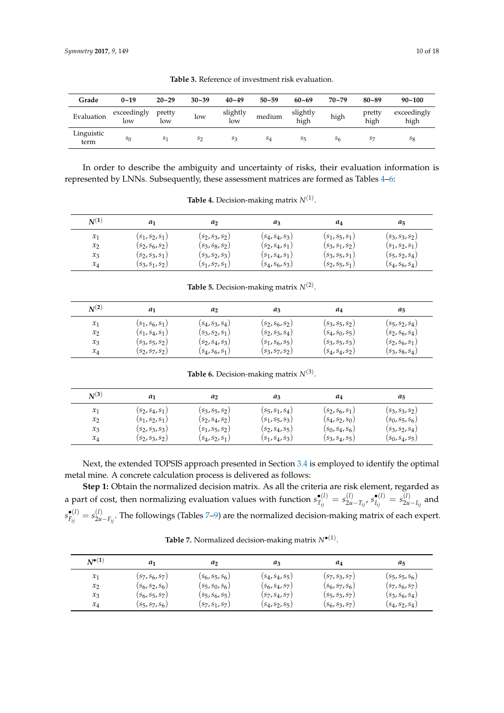<span id="page-9-0"></span>

| Grade              | $0 - 19$           | $20 - 29$      | $30 - 39$      | $40 - 49$       | $50 - 59$ | $60 - 69$          | $70 - 79$ | $80 - 89$      | $90 - 100$          |
|--------------------|--------------------|----------------|----------------|-----------------|-----------|--------------------|-----------|----------------|---------------------|
| Evaluation         | exceedingly<br>low | pretty<br>low  | low            | slightly<br>low | medium    | slightly<br>high   | high      | pretty<br>high | exceedingly<br>high |
| Linguistic<br>term | $s_0$              | S <sub>1</sub> | S <sub>2</sub> | $S_3$           | $S_4$     | $S_{\overline{5}}$ | S6        | S <sub>7</sub> | $s_8$               |

**Table 3.** Reference of investment risk evaluation.

In order to describe the ambiguity and uncertainty of risks, their evaluation information is represented by LNNs. Subsequently, these assessment matrices are formed as Tables [4–](#page-9-1)[6:](#page-9-2)

<span id="page-9-1"></span>

| $N^{(1)}$       | a1                | a                 | aз                | a4                | a5                |
|-----------------|-------------------|-------------------|-------------------|-------------------|-------------------|
| $\mathcal{X}_1$ | $(s_1, s_2, s_1)$ | $(s_2, s_3, s_2)$ | $(s_4, s_4, s_3)$ | $(s_1, s_5, s_1)$ | $(s_3, s_3, s_2)$ |
| $x_2$           | $(s_2, s_6, s_2)$ | $(s_3, s_8, s_2)$ | $(s_2, s_4, s_1)$ | $(s_3, s_1, s_2)$ | $(s_1, s_2, s_1)$ |
| $x_3$           | $(s_2, s_3, s_1)$ | $(s_3, s_2, s_3)$ | $(s_1, s_4, s_1)$ | $(s_3, s_5, s_1)$ | $(s_5, s_2, s_4)$ |
| $x_4$           | $(s_3, s_1, s_2)$ | $(s_1, s_7, s_1)$ | $(s_4, s_6, s_3)$ | $(s_2, s_5, s_1)$ | $(s_4, s_6, s_4)$ |

**Table 4.** Decision-making matrix *N*(1) .

**Table 5.** Decision-making matrix *N*(2) .

| $\,N^{(2)}$ | $a_1$             | a <sub>2</sub>    | $a_3$             | a4                | $a_{5}$           |
|-------------|-------------------|-------------------|-------------------|-------------------|-------------------|
| $x_1$       | $(s_1, s_6, s_1)$ | $(s_4, s_3, s_4)$ | $(s_2, s_6, s_2)$ | $(s_3, s_5, s_2)$ | $(s_5, s_2, s_4)$ |
| $x_2$       | $(s_1, s_4, s_1)$ | $(s_3, s_2, s_1)$ | $(s_2, s_3, s_4)$ | $(s_4, s_0, s_5)$ | $(s_2, s_6, s_4)$ |
| $x_3$       | $(s_3, s_5, s_2)$ | $(s_2, s_4, s_3)$ | $(s_1, s_6, s_5)$ | $(s_3, s_5, s_3)$ | $(s_2, s_6, s_1)$ |
| $x_4$       | $(s_2, s_7, s_2)$ | $(s_4, s_6, s_1)$ | $(s_3, s_7, s_2)$ | $(s_4, s_4, s_2)$ | $(s_3, s_8, s_4)$ |

**Table 6.** Decision-making matrix *N*(3) .

<span id="page-9-2"></span>

| $\mathbf{N^{(3)}}$ | a1                | a <sub>2</sub>    | $a_3$             | a4                | $a_5$             |
|--------------------|-------------------|-------------------|-------------------|-------------------|-------------------|
| $\mathcal{X}_1$    | $(s_2, s_4, s_1)$ | $(s_3, s_5, s_2)$ | $(s_5, s_1, s_4)$ | $(s_2, s_6, s_1)$ | $(s_3, s_3, s_2)$ |
| $x_2$              | $(s_1, s_2, s_1)$ | $(s_2, s_4, s_2)$ | $(s_1, s_5, s_3)$ | $(s_4, s_2, s_0)$ | $(s_0, s_5, s_6)$ |
| $x_3$              | $(s_2, s_3, s_3)$ | $(s_1, s_5, s_2)$ | $(s_2, s_4, s_5)$ | $(s_0, s_4, s_6)$ | $(s_3, s_2, s_4)$ |
| $x_4$              | $(s_2, s_3, s_2)$ | $(s_4, s_2, s_1)$ | $(s_1, s_4, s_3)$ | $(s_3, s_4, s_5)$ | $(s_0, s_4, s_5)$ |

Next, the extended TOPSIS approach presented in Section [3.4](#page-7-0) is employed to identify the optimal metal mine. A concrete calculation process is delivered as follows:

**Step 1:** Obtain the normalized decision matrix. As all the criteria are risk element, regarded as a part of cost, then normalizing evaluation values with function  $s_{T_{i}}^{\bullet(l)}$  $\frac{\bullet(l)}{T_{ij}} = s_{2u}^{(l)}$  $\sum_{i=1}^{(l)}$   $s_{I_{ij}}^{\bullet(l)}$  $S_{I_{ij}}^{(l)} = S_{2u}^{(l)}$  $\sum_{i=1}^{N}$  and  $s^{\bullet (l)}_{F_{ii}}$  $\frac{\bullet(l)}{F_{ij}} = s_{2u}^{(l)}$ 2*u*−*Fij* . The followings (Tables [7–](#page-9-3)[9\)](#page-10-0) are the normalized decision-making matrix of each expert.

**Table 7.** Normalized decision-making matrix *N*•(1) .

<span id="page-9-3"></span>

| $N^{\bullet(1)}$ | a1                | a <sub>2</sub>    | $a_3$             | a4                | $a_5$             |
|------------------|-------------------|-------------------|-------------------|-------------------|-------------------|
| $x_1$            | $(s_7, s_6, s_7)$ | $(s_6, s_5, s_6)$ | $(s_4, s_4, s_5)$ | $(s_7, s_3, s_7)$ | $(s_5, s_5, s_6)$ |
| $x_2$            | $(s_6, s_2, s_6)$ | $(s_5, s_0, s_6)$ | $(s_6, s_4, s_7)$ | $(s_6, s_7, s_6)$ | $(s_7,s_6,s_7)$   |
| $x_3$            | $(s_6, s_5, s_7)$ | $(s_5, s_6, s_5)$ | $(s_7, s_4, s_7)$ | $(s_5, s_3, s_7)$ | $(s_3, s_6, s_4)$ |
| $x_4$            | $(s_5, s_7, s_6)$ | $(s_7, s_1, s_7)$ | $(s_4, s_2, s_5)$ | $(s_6, s_3, s_7)$ | $(s_4, s_2, s_4)$ |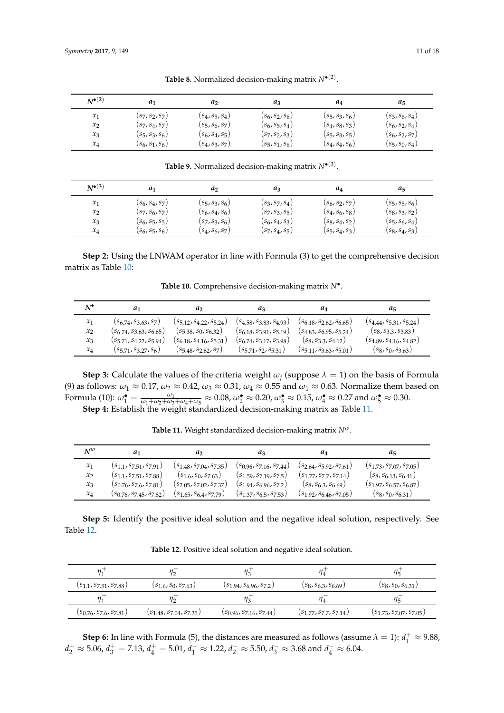| $N^{\bullet(2)}$ | a1                | a2                | aз                | a4                | $a_5$             |
|------------------|-------------------|-------------------|-------------------|-------------------|-------------------|
| $\mathcal{X}_1$  | $(s_7, s_2, s_7)$ | $(s_4, s_5, s_4)$ | $(s_6, s_2, s_6)$ | $(s_5, s_3, s_6)$ | $(s_3, s_6, s_4)$ |
| $x_2$            | $(s_7, s_4, s_7)$ | $(s_5, s_6, s_7)$ | $(s_6, s_5, s_4)$ | $(s_4, s_8, s_3)$ | $(s_6, s_2, s_4)$ |
| $x_3$            | $(s_5, s_3, s_6)$ | $(s_6, s_4, s_5)$ | $(s_7, s_2, s_3)$ | $(s_5, s_3, s_5)$ | $(s_6, s_2, s_7)$ |
| $x_4$            | $(s_6, s_1, s_6)$ | $(s_4, s_3, s_7)$ | $(s_5, s_1, s_6)$ | $(s_4, s_4, s_6)$ | $(s_5, s_0, s_4)$ |

**Table 8.** Normalized decision-making matrix *N*•(2) .

**Table 9.** Normalized decision-making matrix *N*•(3) .

<span id="page-10-0"></span>

| $N^{\bullet(3)}$ | $a_1$             | a,                | $a_3$             | $a_4$             | $a_{5}$           |
|------------------|-------------------|-------------------|-------------------|-------------------|-------------------|
| $\mathcal{X}_1$  | $(s_6, s_4, s_7)$ | $(s_5, s_3, s_6)$ | $(s_3, s_7, s_4)$ | $(s_6, s_2, s_7)$ | $(s_5, s_5, s_6)$ |
| $x_2$            | $(s_7, s_6, s_7)$ | $(s_6, s_4, s_6)$ | $(s_7, s_3, s_5)$ | $(s_4, s_6, s_8)$ | $(s_8, s_3, s_2)$ |
| $x_3$            | $(s_6, s_5, s_5)$ | $(s_7, s_3, s_6)$ | $(s_6, s_4, s_3)$ | $(s_8, s_4, s_2)$ | $(s_5, s_6, s_4)$ |
| $x_4$            | $(s_6, s_5, s_6)$ | $(s_4, s_6, s_7)$ | $(s_7, s_4, s_5)$ | $(s_5, s_4, s_3)$ | $(s_8, s_4, s_3)$ |

<span id="page-10-1"></span>**Step 2:** Using the LNWAM operator in line with Formula (3) to get the comprehensive decision matrix as Table [10:](#page-10-1)

**Table 10.** Comprehensive decision-making matrix *N*• .

| $N^\bullet$     | a1                               | a <sub>2</sub>                   | aз                               | aл                               | $a_{5}$                          |
|-----------------|----------------------------------|----------------------------------|----------------------------------|----------------------------------|----------------------------------|
| $\mathcal{X}_1$ | $(s_{6.74}, s_{3.63}, s_7)$      | $(s_{512}, s_{422}, s_{524})$    | $(s_{4,58}, s_{3,83}, s_{4,93})$ | $(s_{6,18}, s_{2,62}, s_{6,65})$ | $(s_{4.44}, s_{5.31}, s_{5.24})$ |
| $x_2$           | $(s_{6.74}, s_{3.63}, s_{6.65})$ | $(s_{5,38}, s_{0}, s_{6,32})$    | $(s_{6,18}, s_{3,91}, s_{5,19})$ | $(s_{4,83}, s_{6,95}, s_{5,24})$ | $(s_8, s_{3,3}, s_{3,83})$       |
| $x_3$           | $(s_{5.71}, s_{4.22}, s_{5.94})$ | $(s_{6.18}, s_{4.16}, s_{5.31})$ | $(s_{6.74}, s_{3.17}, s_{3.98})$ | $(s_8, s_{3,3}, s_{4,12})$       | $(s_{4.89}, s_{4.16}, s_{4.82})$ |
| $x_4$           | $(s_{5,71}, s_{3,27}, s_{6})$    | $(s_{5,48}, s_{2,62}, s_{7})$    | $(s_{5,71}, s_{2}, s_{5,31})$    | $(s_{5,11}, s_{3,63}, s_{5,01})$ | $(s_8, s_0, s_{3.63})$           |

**Step 3:** Calculate the values of the criteria weight  $\omega_j$  (suppose  $\lambda = 1$ ) on the basis of Formula (9) as follows:  $\omega_1 \approx 0.17$ ,  $\omega_2 \approx 0.42$ ,  $\omega_3 \approx 0.31$ ,  $\omega_4 \approx 0.55$  and  $\omega_1 \approx 0.63$ . Normalize them based on Formula (10):  $\omega_1^{\bullet} = \frac{\omega_1}{\omega_1 + \omega_2 + \omega_3 + \omega_4 + \omega_5} \approx 0.08$ ,  $\omega_2^{\bullet} \approx 0.20$ ,  $\omega_3^{\bullet} \approx 0.15$ ,  $\omega_4^{\bullet} \approx 0.27$  and  $\omega_5^{\bullet} \approx 0.30$ . **Step 4:** Establish the weight standardized decision-making matrix as Table [11.](#page-10-2)

**Table 11.** Weight standardized decision-making matrix *Nw*.

<span id="page-10-2"></span>

| $N^w$ | a1                               | a,                               | aз                              | $a_4$                            | a,                               |
|-------|----------------------------------|----------------------------------|---------------------------------|----------------------------------|----------------------------------|
| $x_1$ | $(s_{1,1}, s_{7,51}, s_{7,91})$  | $(S_1 48, S_7 04, S_7 35)$       | $(s_0, 96, 57, 16, 57, 44)$     | $(s_{2.64}, s_{5.92}, s_{7.61})$ | $(s_{1,73}, s_{7,07}, s_{7,05})$ |
| $x_2$ | $(s_{1,1}, s_{7,51}, s_{7,88})$  | $(s_{1,6}, s_{0}, s_{7,63})$     | $(s_159, s_719, s_75)$          | $(s_1 77, s_7 7, s_7 14)$        | $(s_8, s_{6,13}, s_{6,41})$      |
| $x_3$ | $(s_{0.76}, s_{7.6}, s_{7.81})$  | $(s_{2.05}, s_{7.02}, s_{7.37})$ | $(s_{1.94}, s_{6.96}, s_{7.2})$ | $(s_8, s_{6,3}, s_{6,69})$       | $(s_{1.97}, s_{6.57}, s_{6.87})$ |
| $x_4$ | $(s_{0.76}, s_{7.45}, s_{7.82})$ | $(s_{165}, s_{64}, s_{7.79})$    | $(s_{1,37}, s_{6,5}, s_{7,53})$ | $(s_{1.92}, s_{6.46}, s_{7.05})$ | $(s_8, s_0, s_{6,31})$           |

<span id="page-10-3"></span>**Step 5:** Identify the positive ideal solution and the negative ideal solution, respectively. See Table [12.](#page-10-3)

**Table 12.** Positive ideal solution and negative ideal solution.

| $(s_{1,1}, s_{7,51}, s_{7,88})$ | $(s_{1,6}, s_0, s_{7,63})$       | $(s_{1.94}, s_{6.96}, s_{7.2})$  | $(s_8, s_{6.3}, s_{6.69})$      | $(s_8, s_0, s_{6,31})$           |
|---------------------------------|----------------------------------|----------------------------------|---------------------------------|----------------------------------|
|                                 |                                  |                                  |                                 |                                  |
| $(s_{0.76}, s_{7.6}, s_{7.81})$ | $(s_{1.48}, s_{7.04}, s_{7.35})$ | $(s_{0.96}, s_{7.16}, s_{7.44})$ | $(s_{1.77}, s_{7.7}, s_{7.14})$ | $(s_{1.73}, s_{7.07}, s_{7.05})$ |

**Step 6:** In line with Formula (5), the distances are measured as follows (assume  $\lambda = 1$ ):  $d_1^+ \approx 9.88$ ,  $d_2^+ \approx 5.06$ ,  $d_3^+ = 7.13$ ,  $d_4^+ = 5.01$ ,  $d_1^- \approx 1.22$ ,  $d_2^- \approx 5.50$ ,  $d_3^- \approx 3.68$  and  $d_4^- \approx 6.04$ .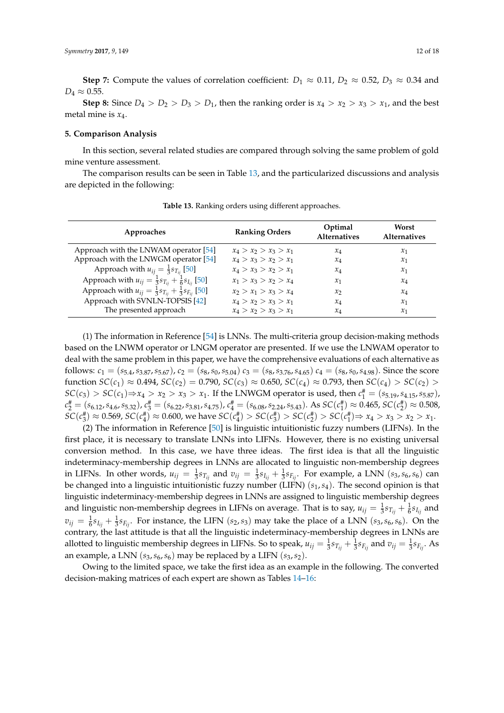**Step 7:** Compute the values of correlation coefficient:  $D_1 \approx 0.11$ ,  $D_2 \approx 0.52$ ,  $D_3 \approx 0.34$  and  $D_4 \approx 0.55$ .

**Step 8:** Since  $D_4 > D_2 > D_3 > D_1$ , then the ranking order is  $x_4 > x_2 > x_3 > x_1$ , and the best metal mine is *x*4.

#### <span id="page-11-0"></span>**5. Comparison Analysis**

In this section, several related studies are compared through solving the same problem of gold mine venture assessment.

The comparison results can be seen in Table [13,](#page-11-1) and the particularized discussions and analysis are depicted in the following:

<span id="page-11-1"></span>

| Approaches                                                                    | <b>Ranking Orders</b>   | Optimal<br><b>Alternatives</b> | Worst<br><b>Alternatives</b> |
|-------------------------------------------------------------------------------|-------------------------|--------------------------------|------------------------------|
| Approach with the LNWAM operator [54]                                         | $x_4 > x_2 > x_3 > x_1$ | $x_4$                          | $x_1$                        |
| Approach with the LNWGM operator [54]                                         | $x_4 > x_3 > x_2 > x_1$ | $x_4$                          | $x_1$                        |
| Approach with $u_{ij} = \frac{1}{3} s_{T_{ij}}$ [50]                          | $x_4 > x_3 > x_2 > x_1$ | $x_4$                          | $x_1$                        |
| Approach with $u_{ij} = \frac{1}{3} s_{T_{ij}} + \frac{1}{6} s_{I_{ij}}$ [50] | $x_1 > x_3 > x_2 > x_4$ | $\mathcal{X}_1$                | $x_4$                        |
| Approach with $u_{ij} = \frac{1}{3}s_{T_{ii}} + \frac{1}{3}s_{F_{ii}}$ [50]   | $x_2 > x_1 > x_3 > x_4$ | $\mathcal{X}$                  | $x_4$                        |
| Approach with SVNLN-TOPSIS [42]                                               | $x_4 > x_2 > x_3 > x_1$ | $x_4$                          | $x_1$                        |
| The presented approach                                                        | $x_4 > x_2 > x_3 > x_1$ | $\chi_4$                       | $x_1$                        |

**Table 13.** Ranking orders using different approaches.

(1) The information in Reference [\[54\]](#page-16-18) is LNNs. The multi-criteria group decision-making methods based on the LNWM operator or LNGM operator are presented. If we use the LNWAM operator to deal with the same problem in this paper, we have the comprehensive evaluations of each alternative as follows:  $c_1 = (s_{5.4}, s_{3.87}, s_{5.67})$ ,  $c_2 = (s_8, s_0, s_{5.04})$ ,  $c_3 = (s_8, s_{3.76}, s_{4.65})$ ,  $c_4 = (s_8, s_0, s_{4.98})$ . Since the score function *SC*(*c*<sub>1</sub>) ≈ 0.494, *SC*(*c*<sub>2</sub>) = 0.790, *SC*(*c*<sub>3</sub>) ≈ 0.650, *SC*(*c*<sub>4</sub>) ≈ 0.793, then *SC*(*c*<sub>4</sub>) > *SC*(*c*<sub>2</sub>) >  $SC(c_3) > SC(c_1)$  ⇒  $x_4 > x_2 > x_3 > x_1$ . If the LNWGM operator is used, then  $c_1^# = (s_{5.19}, s_{4.15}, s_{5.87})$ ,  $c_2^{\#} = (s_{6.12}, s_{4.6}, s_{5.32}), c_3^{\#} = (s_{6.22}, s_{3.81}, s_{4.75}), c_4^{\#} = (s_{6.08}, s_{2.24}, s_{5.43}).$  As  $SC(c_1^{\#}) \approx 0.465$ ,  $SC(c_2^{\#}) \approx 0.508$ ,  $SC(c_3^{\#}) \approx 0.569$ ,  $SC(c_4^{\#}) \approx 0.600$ , we have  $SC(c_4^{\#}) > SC(c_3^{\#}) > SC(c_2^{\#}) > SC(c_1^{\#}) \Rightarrow x_4 > x_3 > x_2 > x_1$ .

(2) The information in Reference [\[50\]](#page-16-14) is linguistic intuitionistic fuzzy numbers (LIFNs). In the first place, it is necessary to translate LNNs into LIFNs. However, there is no existing universal conversion method. In this case, we have three ideas. The first idea is that all the linguistic indeterminacy-membership degrees in LNNs are allocated to linguistic non-membership degrees in LIFNs. In other words,  $u_{ij} = \frac{1}{3} s_{T_{ij}}$  and  $v_{ij} = \frac{1}{3} s_{I_{ij}} + \frac{1}{3} s_{F_{ij}}$ . For example, a LNN ( $s_3$ ,  $s_6$ ,  $s_6$ ) can be changed into a linguistic intuitionistic fuzzy number (LIFN) (*s*1,*s*4). The second opinion is that linguistic indeterminacy-membership degrees in LNNs are assigned to linguistic membership degrees and linguistic non-membership degrees in LIFNs on average. That is to say,  $u_{ij} = \frac{1}{3}s_{T_{ij}} + \frac{1}{6}s_{I_{ij}}$  and  $v_{ij} = \frac{1}{6}s_{I_{ij}} + \frac{1}{3}s_{F_{ij}}$ . For instance, the LIFN (*s*<sub>2</sub>, *s*<sub>3</sub>) may take the place of a LNN (*s*<sub>3</sub>, *s*<sub>6</sub>, *s*<sub>6</sub>). On the contrary, the last attitude is that all the linguistic indeterminacy-membership degrees in LNNs are allotted to linguistic membership degrees in LIFNs. So to speak,  $u_{ij} = \frac{1}{3}s_{T_{ij}} + \frac{1}{3}s_{F_{ij}}$  and  $v_{ij} = \frac{1}{3}s_{F_{ij}}$ . As an example, a LNN  $(s_3, s_6, s_6)$  may be replaced by a LIFN  $(s_3, s_2)$ .

Owing to the limited space, we take the first idea as an example in the following. The converted decision-making matrices of each expert are shown as Tables [14](#page-12-0)[–16:](#page-12-1)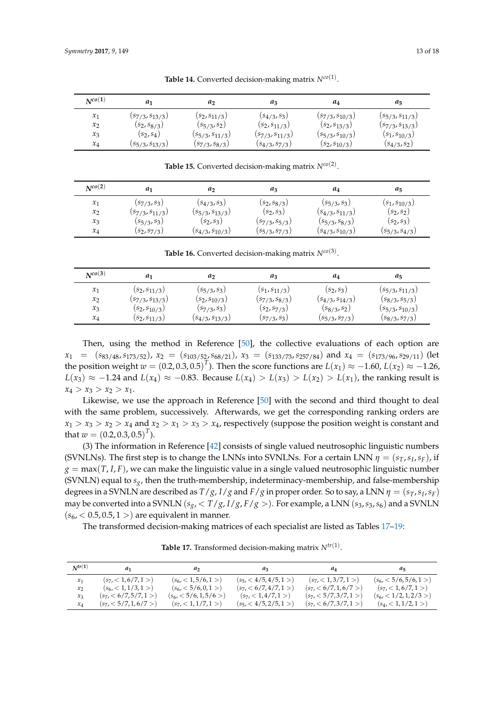<span id="page-12-0"></span>

| $N^{co(1)}$ | a1                    | a <sub>2</sub>        | aз                    | a4                    | a5                    |
|-------------|-----------------------|-----------------------|-----------------------|-----------------------|-----------------------|
| $x_1$       | $(s_{7/3}, s_{13/3})$ | $(s_2, s_{11/3})$     | $(s_{4/3}, s_3)$      | $(s_{7/3}, s_{10/3})$ | $(s_{5/3}, s_{11/3})$ |
| $x_2$       | $(s_2, s_{8/3})$      | $(s_{5/3}, s_2)$      | $(s_2, s_{11/3})$     | $(s_2, s_{13/3})$     | $(s_{7/3}, s_{13/3})$ |
| $x_3$       | $(s_2, s_4)$          | $(s_{5/3}, s_{11/3})$ | $(s_{7/3}, s_{11/3})$ | $(s_{5/3}, s_{10/3})$ | $(s_1, s_{10/3})$     |
| $x_4$       | $(s_{5/3}, s_{13/3})$ | $(s_{7/3}, s_{8/3})$  | $(s_{4/3}, s_{7/3})$  | $(s_2, s_{10/3})$     | $(s_{4/3}, s_2)$      |

**Table 14.** Converted decision-making matrix *Nco*(1) .

**Table 15.** Converted decision-making matrix *Nco*(2) .

| $N^{co(2)}$ | a1                    | a                     | $a_3$                | a4                    | $a_5$                |
|-------------|-----------------------|-----------------------|----------------------|-----------------------|----------------------|
| $x_1$       | $(s_{7/3}, s_3)$      | $(s_{4/3}, s_3)$      | $(s_2, s_{8/3})$     | $(s_{5/3}, s_3)$      | $(s_1, s_{10/3})$    |
| $x_2$       | $(s_{7/3}, s_{11/3})$ | $(s_{5/3}, s_{13/3})$ | $(s_2, s_3)$         | $(s_{4/3}, s_{11/3})$ | $(s_2, s_2)$         |
| $x_3$       | $(s_{5/3}, s_3)$      | $(s_2, s_3)$          | $(s_{7/3}, s_{5/3})$ | $(s_{5/3}, s_{8/3})$  | $(s_2, s_3)$         |
| $x_4$       | $(s_2, s_{7/3})$      | $(s_{4/3}, s_{10/3})$ | $(s_{5/3}, s_{7/3})$ | $(s_{4/3}, s_{10/3})$ | $(s_{5/3}, s_{4/3})$ |

**Table 16.** Converted decision-making matrix *Nco*(3) .

<span id="page-12-1"></span>

| $N^{co(3)}$ | a1                    | a <sub>2</sub>        | $a_3$                | a4                    | $a_5$                 |
|-------------|-----------------------|-----------------------|----------------------|-----------------------|-----------------------|
| $x_1$       | $(s_2, s_{11/3})$     | $(s_{5/3}, s_3)$      | $(s_1, s_{11/3})$    | $(s_2, s_3)$          | $(s_{5/3}, s_{11/3})$ |
| $x_2$       | $(s_{7/3}, s_{13/3})$ | $(s_2, s_{10/3})$     | $(s_{7/3}, s_{8/3})$ | $(s_{4/3}, s_{14/3})$ | $(s_{8/3}, s_{5/3})$  |
| $x_3$       | $(s_2, s_{10/3})$     | $(s_{7/3}, s_3)$      | $(s_2, s_{7/3})$     | $(s_{8/3}, s_2)$      | $(s_{5/3}, s_{10/3})$ |
| $x_4$       | $(s_2, s_{11/3})$     | $(s_{4/3}, s_{13/3})$ | $(s_{7/3}, s_3)$     | $(s_{5/3}, s_{7/3})$  | $(s_{8/3}, s_{7/3})$  |

Then, using the method in Reference [\[50\]](#page-16-14), the collective evaluations of each option are  $x_1 = (s_{83/48}, s_{173/52}), x_2 = (s_{103/52}, s_{68/21}), x_3 = (s_{133/73}, s_{257/84})$  and  $x_4 = (s_{173/96}, s_{29/11})$  (let the position weight  $w = (0.2, 0.3, 0.5)^T$ ). Then the score functions are  $L(x_1) \approx -1.60$ ,  $L(x_2) \approx -1.26$ , *L*(*x*<sub>3</sub>) ≈ −1.24 and *L*(*x*<sub>4</sub>) ≈ −0.83. Because *L*(*x*<sub>4</sub>) > *L*(*x*<sub>3</sub>) > *L*(*x*<sub>2</sub>) > *L*(*x*<sub>1</sub>), the ranking result is  $x_4 > x_3 > x_2 > x_1.$ 

Likewise, we use the approach in Reference [\[50\]](#page-16-14) with the second and third thought to deal with the same problem, successively. Afterwards, we get the corresponding ranking orders are  $x_1 > x_3 > x_2 > x_4$  and  $x_2 > x_1 > x_3 > x_4$ , respectively (suppose the position weight is constant and that  $w = (0.2, 0.3, 0.5)^T$ ).

(3) The information in Reference [\[42\]](#page-16-6) consists of single valued neutrosophic linguistic numbers (SVNLNs). The first step is to change the LNNs into SVNLNs. For a certain LNN  $\eta = (s_T, s_I, s_F)$ , if  $g = max(T, I, F)$ , we can make the linguistic value in a single valued neutrosophic linguistic number (SVNLN) equal to *sg*, then the truth-membership, indeterminacy-membership, and false-membership degrees in a SVNLN are described as  $T/g$ ,  $I/g$  and  $F/g$  in proper order. So to say, a LNN  $\eta = (s_T, s_I, s_F)$ may be converted into a SVNLN ( $s_g$ , <  $T/g$ ,  $I/g$ ,  $F/g$ ). For example, a LNN ( $s_3$ ,  $s_3$ ,  $s_6$ ) and a SVNLN  $(s_6, < 0.5, 0.5, 1>)$  are equivalent in manner.

<span id="page-12-2"></span>The transformed decision-making matrices of each specialist are listed as Tables [17–](#page-12-2)[19:](#page-13-0)

*Ntr*(**1**) *a***<sup>1</sup>** *a***<sup>2</sup>** *a***<sup>3</sup>** *a***<sup>4</sup>** *a***<sup>5</sup>**  $\begin{array}{lllllll} x_1 & (s_7,<1,6/7,1>) & (s_6,<1,1/6,1>) & (s_7,<4/5,1/5,1>) & (s_7,<1,3/7,1>) & (s_6,<5/6,5/6,1>) \\ x_2 & (s_6,<1,1/3,1>) & (s_6,<5/6,0,1>) & (s_7,<6/7,1/7,1>) & (s_7,<6/7,1,6/7>) & (s_7,<1,6/7,1) \end{array}$  $\begin{array}{lllllll} x_2 & (s_6 < 1, 1/3, 1>) & (s_6 < 5/6, 0, 1>) & (s_7 < 6/7, 4/7, 1>) & (s_7 < 6/7, 1, 6/7>) & (s_7 < 1, 6/7, 1>) \\ x_3 & (s_7 < 6/7, 5/7, 1>) & (s_6 < 5/6, 1, 5/6>) & (s_7 < 1, 4/7, 1>) & (s_7 < 5/7, 3/7, 1>) & (s_6 < 1/2, 1, 2/3) \end{array}$  $(s_7, \langle 6/7, 5/7, 1 \rangle)$   $(s_6, \langle 5/6, 1, 5/6 \rangle)$   $(s_7, \langle 1, 4/7, 1 \rangle)$   $(s_7, \langle 5/7, 3/7, 1 \rangle)$ <br> $(s_7, \langle 5/7, 1, 6/7 \rangle)$   $(s_7, \langle 1, 1/7, 1 \rangle)$   $(s_5, \langle 4/5, 2/5, 1 \rangle)$   $(s_7, \langle 6/7, 3/7, 1 \rangle)$  $x_4$  (*s*<sub>7</sub>, < 5/7, 1, 6/7 >) (*s*<sub>7</sub>, < 1, 1/7, 1 >)  $(s_4, < 1, 1/2, 1>)$ 

**Table 17.** Transformed decision-making matrix *Ntr*(1) .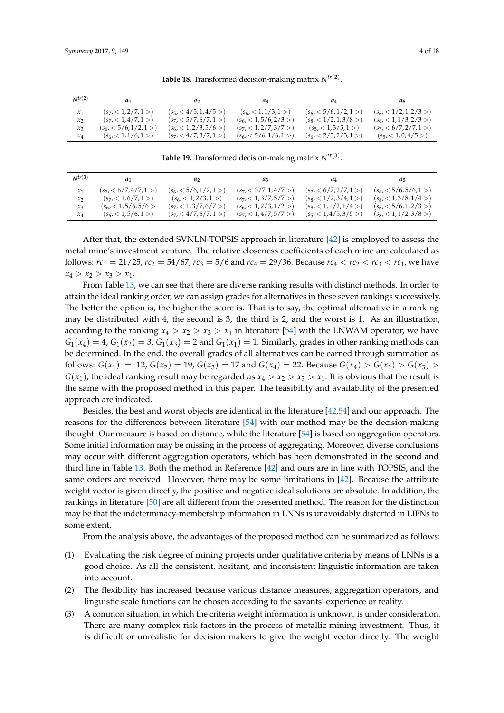| $N^{tr(2)}$ | $a_1$                   | $\mu$                             | $\mu_3$                 | $u_4$                   | $\mu_{5}$                         |
|-------------|-------------------------|-----------------------------------|-------------------------|-------------------------|-----------------------------------|
| $x_1$       | $(s_7, < 1, 2/7, 1>)$   | $(s_5, < 4/5, 1, 4/5)$            | $(s_6, < 1, 1/3, 1>)$   | $(s_6, < 5/6, 1/2, 1>)$ | (s <sub>6</sub> , < 1/2, 1, 2/3>) |
| $x_2$       | $(s_7, < 1, 4/7, 1>)$   | $(s_7, <5/7, 6/7, 1>)$            | $(s_6, < 1, 5/6, 2/3)$  | $(s_8, <1/2, 1, 3/8>)$  | $(s_6, < 1, 1/3, 2/3)$            |
| $x_3$       | $(s_6, < 5/6, 1/2, 1>)$ | (s <sub>6</sub> , < 1, 2/3, 5/6>) | $(s_7, <1, 2/7, 3/7>)$  | $(s_5, < 1, 3/5, 1>)$   | $(s_7, <6/7, 2/7, 1>)$            |
| $x_4$       | $(s_6, < 1, 1/6, 1>)$   | $(s_7, <4/7,3/7,1>)$              | $(s_6, < 5/6, 1/6, 1>)$ | $(s_6, <2/3,2/3,1>)$    | $(s_5, < 1, 0, 4/5)$              |

**Table 18.** Transformed decision-making matrix *Ntr*(2) .

**Table 19.** Transformed decision-making matrix *Ntr*(3) .

<span id="page-13-0"></span>

| $N^{tr(3)}$ | $a_1$                            | a,                      | $\mu_3$                 | $u_4$                   | $a_{5}$                 |
|-------------|----------------------------------|-------------------------|-------------------------|-------------------------|-------------------------|
| $x_1$       | $(s_7, <6/7, 4/7, 1>)$           | $(s_6, < 5/6, 1/2, 1>)$ | $(s_7, <3/7, 1, 4/7>)$  | $(s_7, <6/7, 2/7, 1>)$  | $(s_6, < 5/6, 5/6, 1>)$ |
| $x_2$       | $(s_7, < 1, 6/7, 1>)$            | $(s_6, < 1, 2/3, 1>)$   | $(s_7, < 1, 3/7, 5/7>)$ | $(s_8, <1/2,3/4,1>)$    | $(s_8, < 1, 3/8, 1/4>)$ |
| $x_3$       | (s <sub>6</sub> , < 1, 5/6, 5/6) | $(s_7, < 1, 3/7, 6/7>)$ | $(s_6, < 1, 2/3, 1/2>)$ | $(s_8, < 1, 1/2, 1/4>)$ | $(s_6, < 5/6, 1, 2/3)$  |
| $x_4$       | (s <sub>6</sub> , < 1, 5/6, 1>)  | $(s_7, <4/7,6/7,1>)$    | $(s_7, < 1, 4/7, 5/7>)$ | $(s_5, < 1, 4/5, 3/5)$  | $(s_8, < 1, 1/2, 3/8)$  |

After that, the extended SVNLN-TOPSIS approach in literature [\[42\]](#page-16-6) is employed to assess the metal mine's investment venture. The relative closeness coefficients of each mine are calculated as follows:  $rc_1 = 21/25$ ,  $rc_2 = 54/67$ ,  $rc_3 = 5/6$  and  $rc_4 = 29/36$ . Because  $rc_4 < rc_2 < rc_3 < rc_1$ , we have  $x_4 > x_2 > x_3 > x_1$ .

From Table [13,](#page-11-1) we can see that there are diverse ranking results with distinct methods. In order to attain the ideal ranking order, we can assign grades for alternatives in these seven rankings successively. The better the option is, the higher the score is. That is to say, the optimal alternative in a ranking may be distributed with 4, the second is 3, the third is 2, and the worst is 1. As an illustration, according to the ranking  $x_4 > x_2 > x_3 > x_1$  in literature [\[54\]](#page-16-18) with the LNWAM operator, we have  $G_1(x_4) = 4$ ,  $G_1(x_2) = 3$ ,  $G_1(x_3) = 2$  and  $G_1(x_1) = 1$ . Similarly, grades in other ranking methods can be determined. In the end, the overall grades of all alternatives can be earned through summation as follows:  $G(x_1) = 12$ ,  $G(x_2) = 19$ ,  $G(x_3) = 17$  and  $G(x_4) = 22$ . Because  $G(x_4) > G(x_2) > G(x_3) >$  $G(x_1)$ , the ideal ranking result may be regarded as  $x_4 > x_2 > x_3 > x_1$ . It is obvious that the result is the same with the proposed method in this paper. The feasibility and availability of the presented approach are indicated.

Besides, the best and worst objects are identical in the literature [\[42,](#page-16-6)[54\]](#page-16-18) and our approach. The reasons for the differences between literature [\[54\]](#page-16-18) with our method may be the decision-making thought. Our measure is based on distance, while the literature [\[54\]](#page-16-18) is based on aggregation operators. Some initial information may be missing in the process of aggregating. Moreover, diverse conclusions may occur with different aggregation operators, which has been demonstrated in the second and third line in Table [13.](#page-11-1) Both the method in Reference [\[42\]](#page-16-6) and ours are in line with TOPSIS, and the same orders are received. However, there may be some limitations in [\[42\]](#page-16-6). Because the attribute weight vector is given directly, the positive and negative ideal solutions are absolute. In addition, the rankings in literature [\[50\]](#page-16-14) are all different from the presented method. The reason for the distinction may be that the indeterminacy-membership information in LNNs is unavoidably distorted in LIFNs to some extent.

From the analysis above, the advantages of the proposed method can be summarized as follows:

- (1) Evaluating the risk degree of mining projects under qualitative criteria by means of LNNs is a good choice. As all the consistent, hesitant, and inconsistent linguistic information are taken into account.
- (2) The flexibility has increased because various distance measures, aggregation operators, and linguistic scale functions can be chosen according to the savants' experience or reality.
- (3) A common situation, in which the criteria weight information is unknown, is under consideration. There are many complex risk factors in the process of metallic mining investment. Thus, it is difficult or unrealistic for decision makers to give the weight vector directly. The weight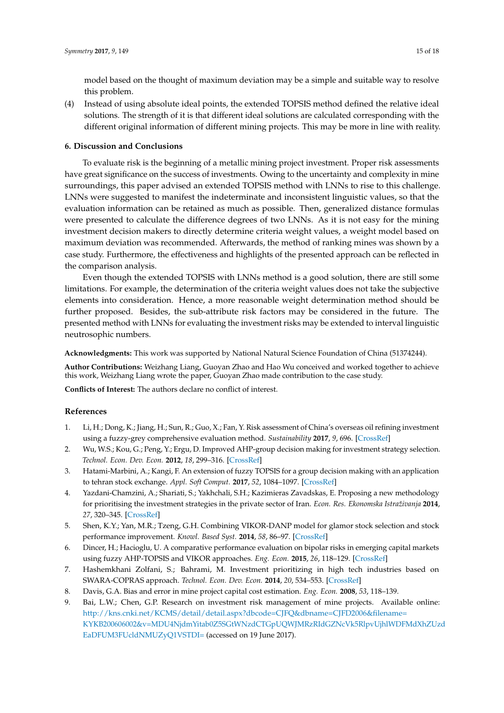model based on the thought of maximum deviation may be a simple and suitable way to resolve this problem.

(4) Instead of using absolute ideal points, the extended TOPSIS method defined the relative ideal solutions. The strength of it is that different ideal solutions are calculated corresponding with the different original information of different mining projects. This may be more in line with reality.

#### **6. Discussion and Conclusions**

To evaluate risk is the beginning of a metallic mining project investment. Proper risk assessments have great significance on the success of investments. Owing to the uncertainty and complexity in mine surroundings, this paper advised an extended TOPSIS method with LNNs to rise to this challenge. LNNs were suggested to manifest the indeterminate and inconsistent linguistic values, so that the evaluation information can be retained as much as possible. Then, generalized distance formulas were presented to calculate the difference degrees of two LNNs. As it is not easy for the mining investment decision makers to directly determine criteria weight values, a weight model based on maximum deviation was recommended. Afterwards, the method of ranking mines was shown by a case study. Furthermore, the effectiveness and highlights of the presented approach can be reflected in the comparison analysis.

Even though the extended TOPSIS with LNNs method is a good solution, there are still some limitations. For example, the determination of the criteria weight values does not take the subjective elements into consideration. Hence, a more reasonable weight determination method should be further proposed. Besides, the sub-attribute risk factors may be considered in the future. The presented method with LNNs for evaluating the investment risks may be extended to interval linguistic neutrosophic numbers.

**Acknowledgments:** This work was supported by National Natural Science Foundation of China (51374244).

**Author Contributions:** Weizhang Liang, Guoyan Zhao and Hao Wu conceived and worked together to achieve this work, Weizhang Liang wrote the paper, Guoyan Zhao made contribution to the case study.

**Conflicts of Interest:** The authors declare no conflict of interest.

## **References**

- <span id="page-14-0"></span>1. Li, H.; Dong, K.; Jiang, H.; Sun, R.; Guo, X.; Fan, Y. Risk assessment of China's overseas oil refining investment using a fuzzy-grey comprehensive evaluation method. *Sustainability* **2017**, *9*, 696. [\[CrossRef\]](http://dx.doi.org/10.3390/su9050696)
- <span id="page-14-1"></span>2. Wu, W.S.; Kou, G.; Peng, Y.; Ergu, D. Improved AHP-group decision making for investment strategy selection. *Technol. Econ. Dev. Econ.* **2012**, *18*, 299–316. [\[CrossRef\]](http://dx.doi.org/10.3846/20294913.2012.680520)
- <span id="page-14-2"></span>3. Hatami-Marbini, A.; Kangi, F. An extension of fuzzy TOPSIS for a group decision making with an application to tehran stock exchange. *Appl. Soft Comput.* **2017**, *52*, 1084–1097. [\[CrossRef\]](http://dx.doi.org/10.1016/j.asoc.2016.09.021)
- <span id="page-14-3"></span>4. Yazdani-Chamzini, A.; Shariati, S.; Yakhchali, S.H.; Kazimieras Zavadskas, E. Proposing a new methodology for prioritising the investment strategies in the private sector of Iran. *Econ. Res. Ekonomska Istraživanja* **2014**, *27*, 320–345. [\[CrossRef\]](http://dx.doi.org/10.1080/1331677X.2014.947150)
- <span id="page-14-4"></span>5. Shen, K.Y.; Yan, M.R.; Tzeng, G.H. Combining VIKOR-DANP model for glamor stock selection and stock performance improvement. *Knowl. Based Syst.* **2014**, *58*, 86–97. [\[CrossRef\]](http://dx.doi.org/10.1016/j.knosys.2013.07.023)
- <span id="page-14-5"></span>6. Dincer, H.; Hacioglu, U. A comparative performance evaluation on bipolar risks in emerging capital markets using fuzzy AHP-TOPSIS and VIKOR approaches. *Eng. Econ.* **2015**, *26*, 118–129. [\[CrossRef\]](http://dx.doi.org/10.5755/j01.ee.26.2.3591)
- <span id="page-14-6"></span>7. Hashemkhani Zolfani, S.; Bahrami, M. Investment prioritizing in high tech industries based on SWARA-COPRAS approach. *Technol. Econ. Dev. Econ.* **2014**, *20*, 534–553. [\[CrossRef\]](http://dx.doi.org/10.3846/20294913.2014.881435)
- <span id="page-14-7"></span>8. Davis, G.A. Bias and error in mine project capital cost estimation. *Eng. Econ.* **2008**, *53*, 118–139.
- <span id="page-14-8"></span>9. Bai, L.W.; Chen, G.P. Research on investment risk management of mine projects. Available online: [http://kns.cnki.net/KCMS/detail/detail.aspx?dbcode=CJFQ&dbname=CJFD2006&filename=](http://kns.cnki.net/KCMS/detail/detail.aspx?dbcode=CJFQ&dbname=CJFD2006&filename=KYKB200606002&v=MDU4NjdmYitab0Z5SGtWNzdCTGpUQWJMRzRIdGZNcVk5RlpvUjhlWDFMdXhZUzd) [KYKB200606002&v=MDU4NjdmYitab0Z5SGtWNzdCTGpUQWJMRzRIdGZNcVk5RlpvUjhlWDFMdXhZUzd](http://kns.cnki.net/KCMS/detail/detail.aspx?dbcode=CJFQ&dbname=CJFD2006&filename=KYKB200606002&v=MDU4NjdmYitab0Z5SGtWNzdCTGpUQWJMRzRIdGZNcVk5RlpvUjhlWDFMdXhZUzd) <EaDFUM3FUcldNMUZyQ1VSTDI=> (accessed on 19 June 2017).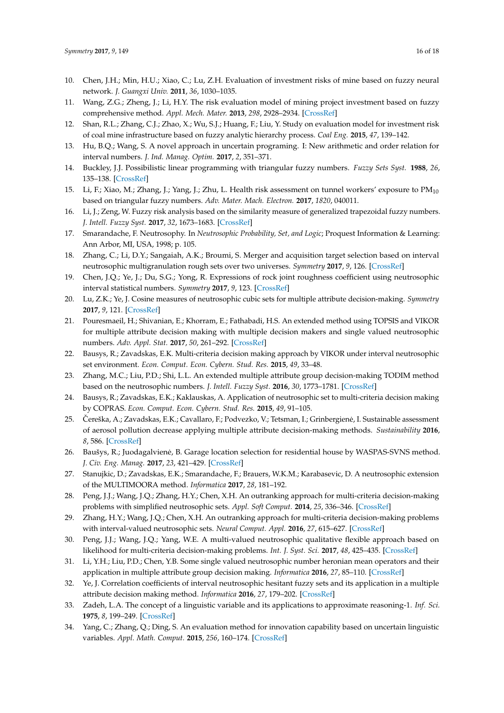- <span id="page-15-0"></span>10. Chen, J.H.; Min, H.U.; Xiao, C.; Lu, Z.H. Evaluation of investment risks of mine based on fuzzy neural network. *J. Guangxi Univ.* **2011**, *36*, 1030–1035.
- <span id="page-15-1"></span>11. Wang, Z.G.; Zheng, J.; Li, H.Y. The risk evaluation model of mining project investment based on fuzzy comprehensive method. *Appl. Mech. Mater.* **2013**, *298*, 2928–2934. [\[CrossRef\]](http://dx.doi.org/10.4028/www.scientific.net/AMM.295-298.2928)
- <span id="page-15-2"></span>12. Shan, R.L.; Zhang, C.J.; Zhao, X.; Wu, S.J.; Huang, F.; Liu, Y. Study on evaluation model for investment risk of coal mine infrastructure based on fuzzy analytic hierarchy process. *Coal Eng.* **2015**, *47*, 139–142.
- <span id="page-15-3"></span>13. Hu, B.Q.; Wang, S. A novel approach in uncertain programing. I: New arithmetic and order relation for interval numbers. *J. Ind. Manag. Optim.* **2017**, *2*, 351–371.
- <span id="page-15-4"></span>14. Buckley, J.J. Possibilistic linear programming with triangular fuzzy numbers. *Fuzzy Sets Syst.* **1988**, *26*, 135–138. [\[CrossRef\]](http://dx.doi.org/10.1016/0165-0114(88)90013-9)
- <span id="page-15-5"></span>15. Li, F.; Xiao, M.; Zhang, J.; Yang, J.; Zhu, L. Health risk assessment on tunnel workers' exposure to PM<sub>10</sub> based on triangular fuzzy numbers. *Adv. Mater. Mach. Electron.* **2017**, *1820*, 040011.
- <span id="page-15-6"></span>16. Li, J.; Zeng, W. Fuzzy risk analysis based on the similarity measure of generalized trapezoidal fuzzy numbers. *J. Intell. Fuzzy Syst.* **2017**, *32*, 1673–1683. [\[CrossRef\]](http://dx.doi.org/10.3233/JIFS-141907)
- <span id="page-15-7"></span>17. Smarandache, F. Neutrosophy. In *Neutrosophic Probability, Set, and Logic*; Proquest Information & Learning: Ann Arbor, MI, USA, 1998; p. 105.
- <span id="page-15-8"></span>18. Zhang, C.; Li, D.Y.; Sangaiah, A.K.; Broumi, S. Merger and acquisition target selection based on interval neutrosophic multigranulation rough sets over two universes. *Symmetry* **2017**, *9*, 126. [\[CrossRef\]](http://dx.doi.org/10.3390/sym9070126)
- 19. Chen, J.Q.; Ye, J.; Du, S.G.; Yong, R. Expressions of rock joint roughness coefficient using neutrosophic interval statistical numbers. *Symmetry* **2017**, *9*, 123. [\[CrossRef\]](http://dx.doi.org/10.3390/sym9070123)
- <span id="page-15-9"></span>20. Lu, Z.K.; Ye, J. Cosine measures of neutrosophic cubic sets for multiple attribute decision-making. *Symmetry* **2017**, *9*, 121. [\[CrossRef\]](http://dx.doi.org/10.3390/sym9070121)
- <span id="page-15-10"></span>21. Pouresmaeil, H.; Shivanian, E.; Khorram, E.; Fathabadi, H.S. An extended method using TOPSIS and VIKOR for multiple attribute decision making with multiple decision makers and single valued neutrosophic numbers. *Adv. Appl. Stat.* **2017**, *50*, 261–292. [\[CrossRef\]](http://dx.doi.org/10.17654/AS050040261)
- <span id="page-15-11"></span>22. Bausys, R.; Zavadskas, E.K. Multi-criteria decision making approach by VIKOR under interval neutrosophic set environment. *Econ. Comput. Econ. Cybern. Stud. Res.* **2015**, *49*, 33–48.
- <span id="page-15-12"></span>23. Zhang, M.C.; Liu, P.D.; Shi, L.L. An extended multiple attribute group decision-making TODIM method based on the neutrosophic numbers. *J. Intell. Fuzzy Syst.* **2016**, *30*, 1773–1781. [\[CrossRef\]](http://dx.doi.org/10.3233/IFS-151889)
- <span id="page-15-13"></span>24. Bausys, R.; Zavadskas, E.K.; Kaklauskas, A. Application of neutrosophic set to multi-criteria decision making by COPRAS. *Econ. Comput. Econ. Cybern. Stud. Res.* **2015**, *49*, 91–105.
- <span id="page-15-14"></span>25. Čereška, A.; Zavadskas, E.K.; Cavallaro, F.; Podvezko, V.; Tetsman, I.; Grinbergienė, I. Sustainable assessment of aerosol pollution decrease applying multiple attribute decision-making methods. *Sustainability* **2016**, *8*, 586. [\[CrossRef\]](http://dx.doi.org/10.3390/su8070586)
- <span id="page-15-15"></span>26. Baušys, R.; Juodagalvienė, B. Garage location selection for residential house by WASPAS-SVNS method. *J. Civ. Eng. Manag.* **2017**, *23*, 421–429. [\[CrossRef\]](http://dx.doi.org/10.3846/13923730.2016.1268645)
- <span id="page-15-16"></span>27. Stanujkic, D.; Zavadskas, E.K.; Smarandache, F.; Brauers, W.K.M.; Karabasevic, D. A neutrosophic extension of the MULTIMOORA method. *Informatica* **2017**, *28*, 181–192.
- <span id="page-15-17"></span>28. Peng, J.J.; Wang, J.Q.; Zhang, H.Y.; Chen, X.H. An outranking approach for multi-criteria decision-making problems with simplified neutrosophic sets. *Appl. Soft Comput.* **2014**, *25*, 336–346. [\[CrossRef\]](http://dx.doi.org/10.1016/j.asoc.2014.08.070)
- <span id="page-15-18"></span>29. Zhang, H.Y.; Wang, J.Q.; Chen, X.H. An outranking approach for multi-criteria decision-making problems with interval-valued neutrosophic sets. *Neural Comput. Appl.* **2016**, *27*, 615–627. [\[CrossRef\]](http://dx.doi.org/10.1007/s00521-015-1882-3)
- <span id="page-15-19"></span>30. Peng, J.J.; Wang, J.Q.; Yang, W.E. A multi-valued neutrosophic qualitative flexible approach based on likelihood for multi-criteria decision-making problems. *Int. J. Syst. Sci.* **2017**, *48*, 425–435. [\[CrossRef\]](http://dx.doi.org/10.1080/00207721.2016.1218975)
- <span id="page-15-20"></span>31. Li, Y.H.; Liu, P.D.; Chen, Y.B. Some single valued neutrosophic number heronian mean operators and their application in multiple attribute group decision making. *Informatica* **2016**, *27*, 85–110. [\[CrossRef\]](http://dx.doi.org/10.15388/Informatica.2016.78)
- <span id="page-15-21"></span>32. Ye, J. Correlation coefficients of interval neutrosophic hesitant fuzzy sets and its application in a multiple attribute decision making method. *Informatica* **2016**, *27*, 179–202. [\[CrossRef\]](http://dx.doi.org/10.15388/Informatica.2016.81)
- <span id="page-15-22"></span>33. Zadeh, L.A. The concept of a linguistic variable and its applications to approximate reasoning-1. *Inf. Sci.* **1975**, *8*, 199–249. [\[CrossRef\]](http://dx.doi.org/10.1016/0020-0255(75)90036-5)
- <span id="page-15-23"></span>34. Yang, C.; Zhang, Q.; Ding, S. An evaluation method for innovation capability based on uncertain linguistic variables. *Appl. Math. Comput.* **2015**, *256*, 160–174. [\[CrossRef\]](http://dx.doi.org/10.1016/j.amc.2014.12.154)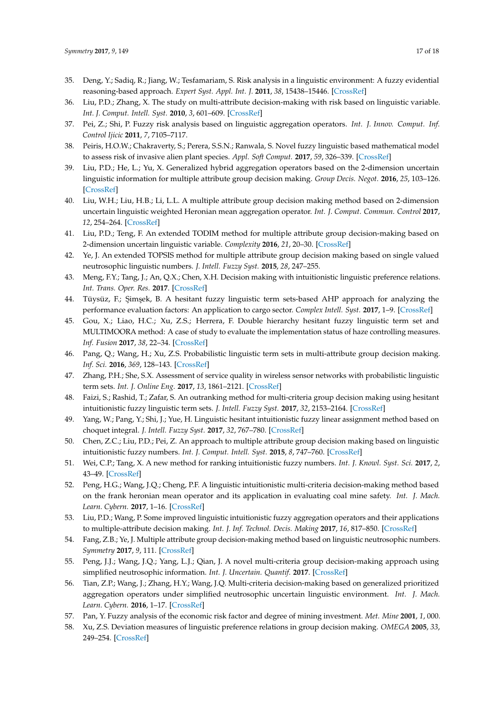- <span id="page-16-0"></span>35. Deng, Y.; Sadiq, R.; Jiang, W.; Tesfamariam, S. Risk analysis in a linguistic environment: A fuzzy evidential reasoning-based approach. *Expert Syst. Appl. Int. J.* **2011**, *38*, 15438–15446. [\[CrossRef\]](http://dx.doi.org/10.1016/j.eswa.2011.06.018)
- <span id="page-16-1"></span>36. Liu, P.D.; Zhang, X. The study on multi-attribute decision-making with risk based on linguistic variable. *Int. J. Comput. Intell. Syst.* **2010**, *3*, 601–609. [\[CrossRef\]](http://dx.doi.org/10.1080/18756891.2010.9727726)
- <span id="page-16-2"></span>37. Pei, Z.; Shi, P. Fuzzy risk analysis based on linguistic aggregation operators. *Int. J. Innov. Comput. Inf. Control Ijicic* **2011**, *7*, 7105–7117.
- <span id="page-16-3"></span>38. Peiris, H.O.W.; Chakraverty, S.; Perera, S.S.N.; Ranwala, S. Novel fuzzy linguistic based mathematical model to assess risk of invasive alien plant species. *Appl. Soft Comput.* **2017**, *59*, 326–339. [\[CrossRef\]](http://dx.doi.org/10.1016/j.asoc.2017.06.006)
- <span id="page-16-4"></span>39. Liu, P.D.; He, L.; Yu, X. Generalized hybrid aggregation operators based on the 2-dimension uncertain linguistic information for multiple attribute group decision making. *Group Decis. Negot.* **2016**, *25*, 103–126. [\[CrossRef\]](http://dx.doi.org/10.1007/s10726-015-9434-x)
- 40. Liu, W.H.; Liu, H.B.; Li, L.L. A multiple attribute group decision making method based on 2-dimension uncertain linguistic weighted Heronian mean aggregation operator. *Int. J. Comput. Commun. Control* **2017**, *12*, 254–264. [\[CrossRef\]](http://dx.doi.org/10.15837/ijccc.2017.2.2792)
- <span id="page-16-5"></span>41. Liu, P.D.; Teng, F. An extended TODIM method for multiple attribute group decision-making based on 2-dimension uncertain linguistic variable. *Complexity* **2016**, *21*, 20–30. [\[CrossRef\]](http://dx.doi.org/10.1002/cplx.21625)
- <span id="page-16-6"></span>42. Ye, J. An extended TOPSIS method for multiple attribute group decision making based on single valued neutrosophic linguistic numbers. *J. Intell. Fuzzy Syst.* **2015**, *28*, 247–255.
- <span id="page-16-7"></span>43. Meng, F.Y.; Tang, J.; An, Q.X.; Chen, X.H. Decision making with intuitionistic linguistic preference relations. *Int. Trans. Oper. Res.* **2017**. [\[CrossRef\]](http://dx.doi.org/10.1111/itor.12383)
- <span id="page-16-8"></span>44. Tüysüz, F.; Şimşek, B. A hesitant fuzzy linguistic term sets-based AHP approach for analyzing the performance evaluation factors: An application to cargo sector. *Complex Intell. Syst.* **2017**, 1–9. [\[CrossRef\]](http://dx.doi.org/10.1007/s40747-017-0044-x)
- <span id="page-16-9"></span>45. Gou, X.; Liao, H.C.; Xu, Z.S.; Herrera, F. Double hierarchy hesitant fuzzy linguistic term set and MULTIMOORA method: A case of study to evaluate the implementation status of haze controlling measures. *Inf. Fusion* **2017**, *38*, 22–34. [\[CrossRef\]](http://dx.doi.org/10.1016/j.inffus.2017.02.008)
- <span id="page-16-10"></span>46. Pang, Q.; Wang, H.; Xu, Z.S. Probabilistic linguistic term sets in multi-attribute group decision making. *Inf. Sci.* **2016**, *369*, 128–143. [\[CrossRef\]](http://dx.doi.org/10.1016/j.ins.2016.06.021)
- <span id="page-16-11"></span>47. Zhang, P.H.; She, S.X. Assessment of service quality in wireless sensor networks with probabilistic linguistic term sets. *Int. J. Online Eng.* **2017**, *13*, 1861–2121. [\[CrossRef\]](http://dx.doi.org/10.3991/ijoe.v13i03.6865)
- <span id="page-16-12"></span>48. Faizi, S.; Rashid, T.; Zafar, S. An outranking method for multi-criteria group decision making using hesitant intuitionistic fuzzy linguistic term sets. *J. Intell. Fuzzy Syst.* **2017**, *32*, 2153–2164. [\[CrossRef\]](http://dx.doi.org/10.3233/JIFS-161976)
- <span id="page-16-13"></span>49. Yang, W.; Pang, Y.; Shi, J.; Yue, H. Linguistic hesitant intuitionistic fuzzy linear assignment method based on choquet integral. *J. Intell. Fuzzy Syst.* **2017**, *32*, 767–780. [\[CrossRef\]](http://dx.doi.org/10.3233/JIFS-16042)
- <span id="page-16-14"></span>50. Chen, Z.C.; Liu, P.D.; Pei, Z. An approach to multiple attribute group decision making based on linguistic intuitionistic fuzzy numbers. *Int. J. Comput. Intell. Syst.* **2015**, *8*, 747–760. [\[CrossRef\]](http://dx.doi.org/10.1080/18756891.2015.1061394)
- <span id="page-16-15"></span>51. Wei, C.P.; Tang, X. A new method for ranking intuitionistic fuzzy numbers. *Int. J. Knowl. Syst. Sci.* **2017**, *2*, 43–49. [\[CrossRef\]](http://dx.doi.org/10.4018/jkss.2011010104)
- <span id="page-16-16"></span>52. Peng, H.G.; Wang, J.Q.; Cheng, P.F. A linguistic intuitionistic multi-criteria decision-making method based on the frank heronian mean operator and its application in evaluating coal mine safety. *Int. J. Mach. Learn. Cybern.* **2017**, 1–16. [\[CrossRef\]](http://dx.doi.org/10.1007/s13042-016-0630-z)
- <span id="page-16-17"></span>53. Liu, P.D.; Wang, P. Some improved linguistic intuitionistic fuzzy aggregation operators and their applications to multiple-attribute decision making. *Int. J. Inf. Technol. Decis. Making* **2017**, *16*, 817–850. [\[CrossRef\]](http://dx.doi.org/10.1142/S0219622017500110)
- <span id="page-16-18"></span>54. Fang, Z.B.; Ye, J. Multiple attribute group decision-making method based on linguistic neutrosophic numbers. *Symmetry* **2017**, *9*, 111. [\[CrossRef\]](http://dx.doi.org/10.3390/sym9070111)
- <span id="page-16-19"></span>55. Peng, J.J.; Wang, J.Q.; Yang, L.J.; Qian, J. A novel multi-criteria group decision-making approach using simplified neutrosophic information. *Int. J. Uncertain. Quantif.* **2017**. [\[CrossRef\]](http://dx.doi.org/10.1615/Int.J.UncertaintyQuantification.2017020126)
- <span id="page-16-20"></span>56. Tian, Z.P.; Wang, J.; Zhang, H.Y.; Wang, J.Q. Multi-criteria decision-making based on generalized prioritized aggregation operators under simplified neutrosophic uncertain linguistic environment. *Int. J. Mach. Learn. Cybern.* **2016**, 1–17. [\[CrossRef\]](http://dx.doi.org/10.1007/s13042-016-0552-9)
- <span id="page-16-21"></span>57. Pan, Y. Fuzzy analysis of the economic risk factor and degree of mining investment. *Met. Mine* **2001**, *1*, 000.
- <span id="page-16-22"></span>58. Xu, Z.S. Deviation measures of linguistic preference relations in group decision making. *OMEGA* **2005**, *33*, 249–254. [\[CrossRef\]](http://dx.doi.org/10.1016/j.omega.2004.04.008)